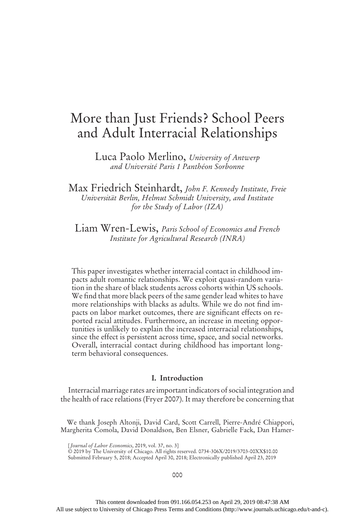# More than Just Friends? School Peers and Adult Interracial Relationships

Luca Paolo Merlino, University of Antwerp and Université Paris 1 Panthéon Sorbonne

Max Friedrich Steinhardt, John F. Kennedy Institute, Freie Universität Berlin, Helmut Schmidt University, and Institute for the Study of Labor (IZA)

Liam Wren-Lewis, Paris School of Economics and French Institute for Agricultural Research (INRA)

This paper investigates whether interracial contact in childhood impacts adult romantic relationships. We exploit quasi-random variation in the share of black students across cohorts within US schools. We find that more black peers of the same gender lead whites to have more relationships with blacks as adults. While we do not find impacts on labor market outcomes, there are significant effects on reported racial attitudes. Furthermore, an increase in meeting opportunities is unlikely to explain the increased interracial relationships, since the effect is persistent across time, space, and social networks. Overall, interracial contact during childhood has important longterm behavioral consequences.

# I. Introduction

Interracial marriage rates are important indicators of social integration and the health of race relations (Fryer 2007). It may therefore be concerning that

We thank Joseph Altonji, David Card, Scott Carrell, Pierre-André Chiappori, Margherita Comola, David Donaldson, Ben Elsner, Gabrielle Fack, Dan Hamer-

[Journal of Labor Economics, 2019, vol. 37, no. 3]

© 2019 by The University of Chicago. All rights reserved. 0734-306X/2019/3703-00XX\$10.00 Submitted February 5, 2018; Accepted April 30, 2018; Electronically published April 23, 2019

000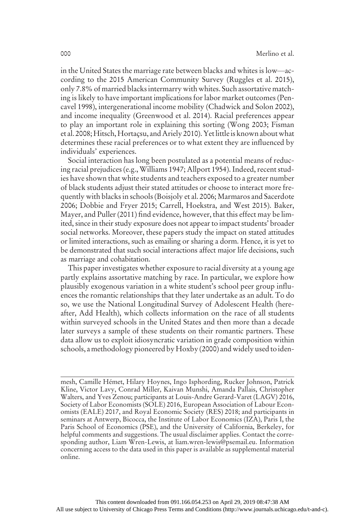in the United States the marriage rate between blacks and whites is low—according to the 2015 American Community Survey (Ruggles et al. 2015), only 7.8% of married blacks intermarry with whites. Such assortative matching is likely to have important implications for labor market outcomes (Pencavel 1998), intergenerational income mobility (Chadwick and Solon 2002), and income inequality (Greenwood et al. 2014). Racial preferences appear to play an important role in explaining this sorting (Wong 2003; Fisman et al. 2008;Hitsch,Hortaçsu, and Ariely 2010). Yetlittle is known about what determines these racial preferences or to what extent they are influenced by individuals' experiences.

Social interaction has long been postulated as a potential means of reducing racial prejudices (e.g., Williams 1947; Allport 1954). Indeed, recent studies have shown that white students and teachers exposed to a greater number of black students adjust their stated attitudes or choose to interact more frequently with blacks in schools (Boisjoly et al. 2006; Marmaros and Sacerdote 2006; Dobbie and Fryer 2015; Carrell, Hoekstra, and West 2015). Baker, Mayer, and Puller (2011) find evidence, however, that this effect may be limited, since in their study exposure does not appear to impact students' broader social networks. Moreover, these papers study the impact on stated attitudes or limited interactions, such as emailing or sharing a dorm. Hence, it is yet to be demonstrated that such social interactions affect major life decisions, such as marriage and cohabitation.

This paper investigates whether exposure to racial diversity at a young age partly explains assortative matching by race. In particular, we explore how plausibly exogenous variation in a white student's school peer group influences the romantic relationships that they later undertake as an adult. To do so, we use the National Longitudinal Survey of Adolescent Health (hereafter, Add Health), which collects information on the race of all students within surveyed schools in the United States and then more than a decade later surveys a sample of these students on their romantic partners. These data allow us to exploit idiosyncratic variation in grade composition within schools, a methodology pioneered byHoxby (2000) and widely used to iden-

mesh, Camille Hémet, Hilary Hoynes, Ingo Isphording, Rucker Johnson, Patrick Kline, Victor Lavy, Conrad Miller, Kaivan Munshi, Amanda Pallais, Christopher Walters, and Yves Zenou; participants at Louis-Andre Gerard-Varet (LAGV) 2016, Society of Labor Economists (SOLE) 2016, European Association of Labour Economists (EALE) 2017, and Royal Economic Society (RES) 2018; and participants in seminars at Antwerp, Bicocca, the Institute of Labor Economics (IZA), Paris I, the Paris School of Economics (PSE), and the University of California, Berkeley, for helpful comments and suggestions. The usual disclaimer applies. Contact the corresponding author, Liam Wren-Lewis, at liam.wren-lewis@psemail.eu. Information concerning access to the data used in this paper is available as supplemental material online.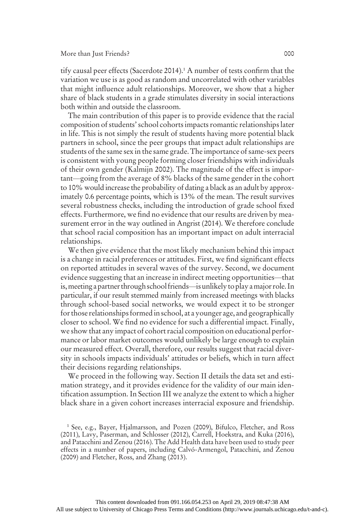tify causal peer effects (Sacerdote 2014).<sup>1</sup> A number of tests confirm that the variation we use is as good as random and uncorrelated with other variables that might influence adult relationships. Moreover, we show that a higher share of black students in a grade stimulates diversity in social interactions both within and outside the classroom.

The main contribution of this paper is to provide evidence that the racial composition of students'school cohorts impacts romantic relationships later in life. This is not simply the result of students having more potential black partners in school, since the peer groups that impact adult relationships are students of the same sex in the same grade. The importance of same-sex peers is consistent with young people forming closer friendships with individuals of their own gender (Kalmijn 2002). The magnitude of the effect is important—going from the average of 8% blacks of the same gender in the cohort to 10% would increase the probability of dating a black as an adult by approximately 0.6 percentage points, which is 13% of the mean. The result survives several robustness checks, including the introduction of grade school fixed effects. Furthermore, we find no evidence that our results are driven by measurement error in the way outlined in Angrist (2014). We therefore conclude that school racial composition has an important impact on adult interracial relationships.

We then give evidence that the most likely mechanism behind this impact is a change in racial preferences or attitudes. First, we find significant effects on reported attitudes in several waves of the survey. Second, we document evidence suggesting that an increase in indirect meeting opportunities—that is,meeting a partner through school friends—is unlikely to play amajor role. In particular, if our result stemmed mainly from increased meetings with blacks through school-based social networks, we would expect it to be stronger for those relationships formed in school, at a younger age, and geographically closer to school. We find no evidence for such a differential impact. Finally, we show that any impact of cohort racial composition on educational performance or labor market outcomes would unlikely be large enough to explain our measured effect. Overall, therefore, our results suggest that racial diversity in schools impacts individuals' attitudes or beliefs, which in turn affect their decisions regarding relationships.

We proceed in the following way. Section II details the data set and estimation strategy, and it provides evidence for the validity of our main identification assumption. In Section III we analyze the extent to which a higher black share in a given cohort increases interracial exposure and friendship.

<sup>&</sup>lt;sup>1</sup> See, e.g., Bayer, Hjalmarsson, and Pozen (2009), Bifulco, Fletcher, and Ross (2011), Lavy, Paserman, and Schlosser (2012), Carrell, Hoekstra, and Kuka (2016), and Patacchini and Zenou (2016). The Add Health data have been used to study peer effects in a number of papers, including Calvó-Armengol, Patacchini, and Zenou (2009) and Fletcher, Ross, and Zhang (2013).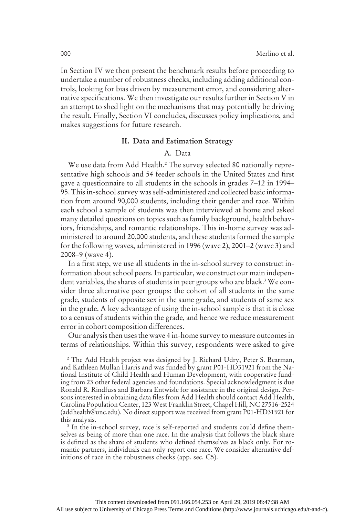In Section IV we then present the benchmark results before proceeding to undertake a number of robustness checks, including adding additional controls, looking for bias driven by measurement error, and considering alternative specifications. We then investigate our results further in Section V in an attempt to shed light on the mechanisms that may potentially be driving the result. Finally, Section VI concludes, discusses policy implications, and makes suggestions for future research.

# II. Data and Estimation Strategy

# A. Data

We use data from Add Health.<sup>2</sup> The survey selected 80 nationally representative high schools and 54 feeder schools in the United States and first gave a questionnaire to all students in the schools in grades 7–12 in 1994– 95. This in-school survey was self-administered and collected basic information from around 90,000 students, including their gender and race. Within each school a sample of students was then interviewed at home and asked many detailed questions on topics such as family background, health behaviors, friendships, and romantic relationships. This in-home survey was administered to around 20,000 students, and these students formed the sample for the following waves, administered in 1996 (wave 2), 2001–2 (wave 3) and 2008–9 (wave 4).

In a first step, we use all students in the in-school survey to construct information about school peers. In particular, we construct our main independent variables, the shares of students in peer groups who are black.<sup>3</sup> We consider three alternative peer groups: the cohort of all students in the same grade, students of opposite sex in the same grade, and students of same sex in the grade. A key advantage of using the in-school sample is that it is close to a census of students within the grade, and hence we reduce measurement error in cohort composition differences.

Our analysis then uses the wave 4 in-home survey to measure outcomes in terms of relationships. Within this survey, respondents were asked to give

<sup>2</sup> The Add Health project was designed by J. Richard Udry, Peter S. Bearman, and Kathleen Mullan Harris and was funded by grant P01-HD31921 from the National Institute of Child Health and Human Development, with cooperative funding from 23 other federal agencies and foundations. Special acknowledgment is due Ronald R. Rindfuss and Barbara Entwisle for assistance in the original design. Persons interested in obtaining data files from Add Health should contact Add Health, Carolina Population Center, 123 West Franklin Street, Chapel Hill, NC 27516-2524 (addhealth@unc.edu). No direct support was received from grant P01-HD31921 for this analysis.

<sup>3</sup> In the in-school survey, race is self-reported and students could define themselves as being of more than one race. In the analysis that follows the black share is defined as the share of students who defined themselves as black only. For romantic partners, individuals can only report one race. We consider alternative definitions of race in the robustness checks (app. sec. C5).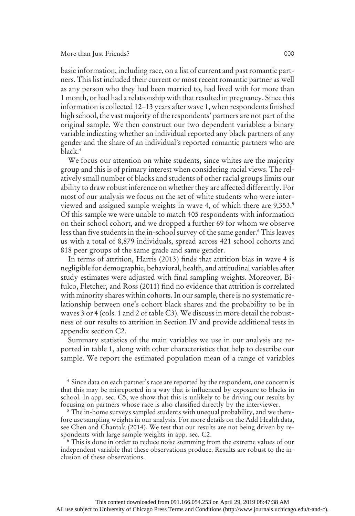#### More than Just Friends? 000

basic information, including race, on a list of current and past romantic partners. This list included their current or most recent romantic partner as well as any person who they had been married to, had lived with for more than 1 month, or had had a relationship with that resulted in pregnancy. Since this information is collected 12–13 years after wave 1, when respondents finished high school, the vast majority of the respondents' partners are not part of the original sample. We then construct our two dependent variables: a binary variable indicating whether an individual reported any black partners of any gender and the share of an individual's reported romantic partners who are black.4

We focus our attention on white students, since whites are the majority group and this is of primary interest when considering racial views. The relatively small number of blacks and students of other racial groups limits our ability to draw robust inference on whether they are affected differently. For most of our analysis we focus on the set of white students who were interviewed and assigned sample weights in wave 4, of which there are 9,353.5 Of this sample we were unable to match 405 respondents with information on their school cohort, and we dropped a further 69 for whom we observe less than five students in the in-school survey of the same gender.<sup>6</sup> This leaves us with a total of 8,879 individuals, spread across 421 school cohorts and 818 peer groups of the same grade and same gender.

In terms of attrition, Harris (2013) finds that attrition bias in wave 4 is negligible for demographic, behavioral, health, and attitudinal variables after study estimates were adjusted with final sampling weights. Moreover, Bifulco, Fletcher, and Ross (2011) find no evidence that attrition is correlated with minority shares within cohorts. In our sample, there is no systematic relationship between one's cohort black shares and the probability to be in waves 3 or 4 (cols. 1 and 2 of table C3). We discuss in more detail the robustness of our results to attrition in Section IV and provide additional tests in appendix section C2.

Summary statistics of the main variables we use in our analysis are reported in table 1, along with other characteristics that help to describe our sample. We report the estimated population mean of a range of variables

<sup>4</sup> Since data on each partner's race are reported by the respondent, one concern is that this may be misreported in a way that is influenced by exposure to blacks in school. In app. sec. C5, we show that this is unlikely to be driving our results by focusing on partners whose race is also classified directly by the interviewer.

<sup>5</sup> The in-home surveys sampled students with unequal probability, and we therefore use sampling weights in our analysis. For more details on the Add Health data, see Chen and Chantala (2014). We test that our results are not being driven by respondents with large sample weights in app. sec. C2.

<sup>6</sup> This is done in order to reduce noise stemming from the extreme values of our independent variable that these observations produce. Results are robust to the inclusion of these observations.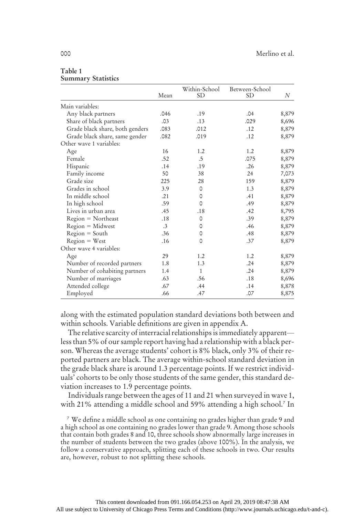|                                 | Mean            | Within-School<br><b>SD</b> | Between-School<br><b>SD</b> | N     |
|---------------------------------|-----------------|----------------------------|-----------------------------|-------|
| Main variables:                 |                 |                            |                             |       |
| Any black partners              | .046            | .19                        | .04                         | 8,879 |
| Share of black partners         | .03             | .13                        | .029                        | 8,696 |
| Grade black share, both genders | .083            | .012                       | .12                         | 8,879 |
| Grade black share, same gender  | .082            | .019                       | .12                         | 8,879 |
| Other wave 1 variables:         |                 |                            |                             |       |
| Age                             | 16              | 1.2                        | 1.2                         | 8,879 |
| Female                          | .52             | .5                         | .075                        | 8,879 |
| Hispanic                        | .14             | .19                        | .26                         | 8,879 |
| Family income                   | 50              | 38                         | 24                          | 7,073 |
| Grade size                      | 225             | 28                         | 159                         | 8,879 |
| Grades in school                | 3.9             | 0                          | 1.3                         | 8,879 |
| In middle school                | .21             | 0                          | .41                         | 8,879 |
| In high school                  | .59             | 0                          | .49                         | 8,879 |
| Lives in urban area             | .45             | .18                        | .42                         | 8,795 |
| $Region = Northern$             | .18             | 0                          | .39                         | 8,879 |
| $Region = Midwest$              | $.3\phantom{0}$ | 0                          | .46                         | 8,879 |
| $Region = South$                | .36             | 0                          | .48                         | 8,879 |
| $Region = West$                 | .16             | 0                          | .37                         | 8,879 |
| Other wave 4 variables:         |                 |                            |                             |       |
| Age                             | 29              | 1.2                        | 1.2                         | 8,879 |
| Number of recorded partners     | 1.8             | 1.3                        | .24                         | 8,879 |
| Number of cohabiting partners   | 1.4             | $\mathbf{1}$               | .24                         | 8,879 |
| Number of marriages             | .63             | .56                        | .18                         | 8,696 |
| Attended college                | .67             | .44                        | .14                         | 8,878 |
| Employed                        | .66             | .47                        | .07                         | 8,875 |

#### Table 1 Summary Statistics

along with the estimated population standard deviations both between and within schools. Variable definitions are given in appendix A.

The relative scarcity of interracial relationships is immediately apparent less than 5% of our sample report having had a relationship with a black person. Whereas the average students' cohort is 8% black, only 3% of their reported partners are black. The average within-school standard deviation in the grade black share is around 1.3 percentage points. If we restrict individuals' cohorts to be only those students of the same gender, this standard deviation increases to 1.9 percentage points.

Individuals range between the ages of 11 and 21 when surveyed in wave 1, with 21% attending a middle school and 59% attending a high school.7 In

<sup>7</sup> We define a middle school as one containing no grades higher than grade 9 and a high school as one containing no grades lower than grade 9. Among those schools that contain both grades 8 and 10, three schools show abnormally large increases in the number of students between the two grades (above 100%). In the analysis, we follow a conservative approach, splitting each of these schools in two. Our results are, however, robust to not splitting these schools.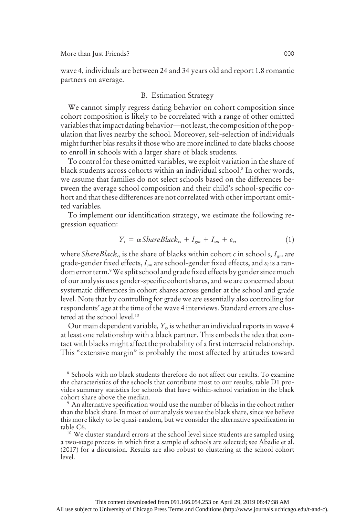wave 4, individuals are between 24 and 34 years old and report 1.8 romantic partners on average.

# B. Estimation Strategy

We cannot simply regress dating behavior on cohort composition since cohort composition is likely to be correlated with a range of other omitted variables that impact dating behavior—not least, the composition of the population that lives nearby the school. Moreover, self-selection of individuals might further bias results if those who are more inclined to date blacks choose to enroll in schools with a larger share of black students.

To control for these omitted variables, we exploit variation in the share of black students across cohorts within an individual school.8 In other words, we assume that families do not select schools based on the differences between the average school composition and their child's school-specific cohort and that these differences are not correlated with other important omitted variables.

To implement our identification strategy, we estimate the following regression equation:

$$
Y_i = \alpha \, \text{ShareBlack}_{\alpha} + I_{\text{gm}} + I_{\text{sm}} + \varepsilon_i, \tag{1}
$$

where ShareBlack<sub>cs</sub> is the share of blacks within cohort c in school s,  $I_{gm}$  are grade-gender fixed effects,  $I_{sm}$  are school-gender fixed effects, and  $\varepsilon_i$  is a random error term.<sup>9</sup> We split school and grade fixed effects by gender since much of our analysis uses gender-specific cohort shares, and we are concerned about systematic differences in cohort shares across gender at the school and grade level. Note that by controlling for grade we are essentially also controlling for respondents' age at the time of the wave 4 interviews. Standard errors are clustered at the school level.10

Our main dependent variable,  $Y_{i}$ , is whether an individual reports in wave 4  $\,$ at least one relationship with a black partner. This embeds the idea that contact with blacks might affect the probability of a first interracial relationship. This "extensive margin" is probably the most affected by attitudes toward

<sup>8</sup> Schools with no black students therefore do not affect our results. To examine the characteristics of the schools that contribute most to our results, table D1 provides summary statistics for schools that have within-school variation in the black cohort share above the median.

<sup>9</sup> An alternative specification would use the number of blacks in the cohort rather than the black share. In most of our analysis we use the black share, since we believe this more likely to be quasi-random, but we consider the alternative specification in table C6.<br><sup>10</sup> We cluster standard errors at the school level since students are sampled using

a two-stage process in which first a sample of schools are selected; see Abadie et al. (2017) for a discussion. Results are also robust to clustering at the school cohort level.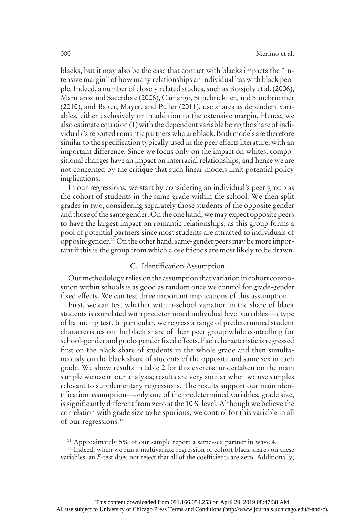blacks, but it may also be the case that contact with blacks impacts the "intensive margin" of how many relationships an individual has with black people. Indeed, a number of closely related studies, such as Boisjoly et al. (2006), Marmaros and Sacerdote (2006), Camargo, Stinebrickner, and Stinebrickner (2010), and Baker, Mayer, and Puller (2011), use shares as dependent variables, either exclusively or in addition to the extensive margin. Hence, we also estimate equation (1) with the dependent variable being the share of individual *i*'s reported romantic partners who are black. Both models are therefore similar to the specification typically used in the peer effects literature, with an important difference. Since we focus only on the impact on whites, compositional changes have an impact on interracial relationships, and hence we are not concerned by the critique that such linear models limit potential policy implications.

In our regressions, we start by considering an individual's peer group as the cohort of students in the same grade within the school. We then split grades in two, considering separately those students of the opposite gender and those of the same gender.On the one hand, we may expect opposite peers to have the largest impact on romantic relationships, as this group forms a pool of potential partners since most students are attracted to individuals of opposite gender.11 On the other hand, same-gender peers may be more important if this is the group from which close friends are most likely to be drawn.

### C. Identification Assumption

Our methodology relies on the assumption that variation in cohort composition within schools is as good as random once we control for grade-gender fixed effects. We can test three important implications of this assumption.

First, we can test whether within-school variation in the share of black students is correlated with predetermined individual level variables—a type of balancing test. In particular, we regress a range of predetermined student characteristics on the black share of their peer group while controlling for school-gender and grade-gender fixed effects. Each characteristic is regressed first on the black share of students in the whole grade and then simultaneously on the black share of students of the opposite and same sex in each grade. We show results in table 2 for this exercise undertaken on the main sample we use in our analysis; results are very similar when we use samples relevant to supplementary regressions. The results support our main identification assumption—only one of the predetermined variables, grade size, is significantly different from zero at the 10% level. Although we believe the correlation with grade size to be spurious, we control for this variable in all of our regressions.12

<sup>11</sup> Approximately 5% of our sample report a same-sex partner in wave 4.

<sup>12</sup> Indeed, when we run a multivariate regression of cohort black shares on these variables, an F-test does not reject that all of the coefficients are zero. Additionally,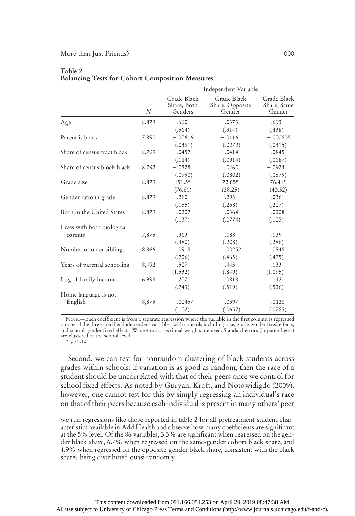#### More than Just Friends? 000

|                             |       |                                       | Independent Variable                     |                                      |
|-----------------------------|-------|---------------------------------------|------------------------------------------|--------------------------------------|
|                             | N     | Grade Black<br>Share, Both<br>Genders | Grade Black<br>Share, Opposite<br>Gender | Grade Black<br>Share, Same<br>Gender |
| Age                         | 8,879 | $-.690$                               | $-.0373$                                 | $-.693$                              |
|                             |       | (.564)                                | (.314)                                   | (.438)                               |
| Parent is black             | 7,890 | $-.00616$                             | $-.0116$                                 | $-.000805$                           |
|                             |       | (.0361)                               | (.0272)                                  | (.0315)                              |
| Share of census tract black | 8,799 | $-.0457$                              | .0414                                    | $-.0845$                             |
|                             |       | (.114)                                | (.0914)                                  | (.0687)                              |
| Share of census block black | 8,792 | $-.0578$                              | .0460                                    | $-.0974$                             |
|                             |       | (.0990)                               | (.0802)                                  | (.0879)                              |
| Grade size                  | 8,879 | $151.5*$                              | $72.65*$                                 | $76.41*$                             |
|                             |       | (76.61)                               | (38.25)                                  | (40.52)                              |
| Gender ratio in grade       | 8,879 | $-.210$                               | $-.293$                                  | .0361                                |
|                             |       | (.155)                                | (.258)                                   | (.207)                               |
| Born in the United States   | 8,879 | $-.0207$                              | .0364                                    | $-.0208$                             |
|                             |       | (.137)                                | (.0774)                                  | (.105)                               |
| Lives with both biological  |       |                                       |                                          |                                      |
| parents                     | 7,875 | .363                                  | .188                                     | .139                                 |
|                             |       | (.380)                                | (.208)                                   | (.286)                               |
| Number of older siblings    | 8,866 | .0918                                 | .00252                                   | .0848                                |
|                             |       | (.706)                                | (.465)                                   | (.475)                               |
| Years of parental schooling | 8,492 | .507                                  | .445                                     | $-.133$                              |
|                             |       | (1.532)                               | (.849)                                   | (1.095)                              |
| Log of family income        | 6,998 | .207                                  | .0818                                    | .112                                 |
|                             |       | (.743)                                | (.519)                                   | (.526)                               |
| Home language is not        |       |                                       |                                          |                                      |
| English                     | 8,879 | .00457                                | .0397                                    | $-.0126$                             |
|                             |       | (.102)                                | (.0657)                                  | (.0785)                              |

### Table 2 Balancing Tests for Cohort Composition Measures

NOTE.—Each coefficient is from a separate regression where the variable in the first column is regressed on one of the three specified independent variables, with controls including race, grade-gender fixed effects,<br>and school-gender fixed effects. Wave 4 cross-sectional weights are used. Standard errors (in parentheses)<br>are

\*  $p < .10$ .

Second, we can test for nonrandom clustering of black students across grades within schools: if variation is as good as random, then the race of a student should be uncorrelated with that of their peers once we control for school fixed effects. As noted by Guryan, Kroft, and Notowidigdo (2009), however, one cannot test for this by simply regressing an individual's race on that of their peers because each individual is present in many others' peer

we run regressions like those reported in table 2 for all pretreatment student characteristics available in Add Health and observe how many coefficients are significant at the 5% level. Of the 86 variables, 3.3% are significant when regressed on the gender black share, 6.7% when regressed on the same-gender cohort black share, and 4.9% when regressed on the opposite-gender black share, consistent with the black shares being distributed quasi-randomly.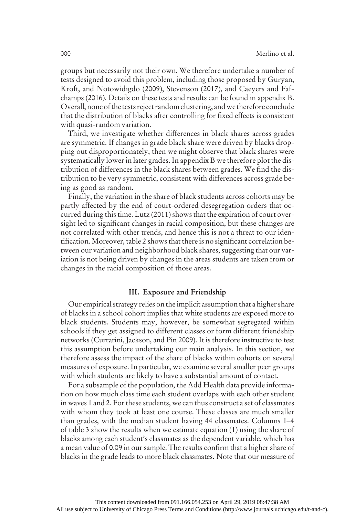groups but necessarily not their own. We therefore undertake a number of tests designed to avoid this problem, including those proposed by Guryan, Kroft, and Notowidigdo (2009), Stevenson (2017), and Caeyers and Fafchamps (2016). Details on these tests and results can be found in appendix B. Overall, none of the tests reject random clustering, and we therefore conclude that the distribution of blacks after controlling for fixed effects is consistent with quasi-random variation.

Third, we investigate whether differences in black shares across grades are symmetric. If changes in grade black share were driven by blacks dropping out disproportionately, then we might observe that black shares were systematically lower in later grades. In appendix B we therefore plot the distribution of differences in the black shares between grades. We find the distribution to be very symmetric, consistent with differences across grade being as good as random.

Finally, the variation in the share of black students across cohorts may be partly affected by the end of court-ordered desegregation orders that occurred during this time. Lutz (2011) shows that the expiration of court oversight led to significant changes in racial composition, but these changes are not correlated with other trends, and hence this is not a threat to our identification. Moreover, table 2 shows that there is no significant correlation between our variation and neighborhood black shares, suggesting that our variation is not being driven by changes in the areas students are taken from or changes in the racial composition of those areas.

# III. Exposure and Friendship

Our empirical strategy relies on the implicit assumption that a higher share of blacks in a school cohort implies that white students are exposed more to black students. Students may, however, be somewhat segregated within schools if they get assigned to different classes or form different friendship networks (Currarini, Jackson, and Pin 2009). It is therefore instructive to test this assumption before undertaking our main analysis. In this section, we therefore assess the impact of the share of blacks within cohorts on several measures of exposure. In particular, we examine several smaller peer groups with which students are likely to have a substantial amount of contact.

For a subsample of the population, the Add Health data provide information on how much class time each student overlaps with each other student in waves 1 and 2. For these students, we can thus construct a set of classmates with whom they took at least one course. These classes are much smaller than grades, with the median student having 44 classmates. Columns 1–4 of table 3 show the results when we estimate equation (1) using the share of blacks among each student's classmates as the dependent variable, which has a mean value of 0.09 in our sample. The results confirm that a higher share of blacks in the grade leads to more black classmates. Note that our measure of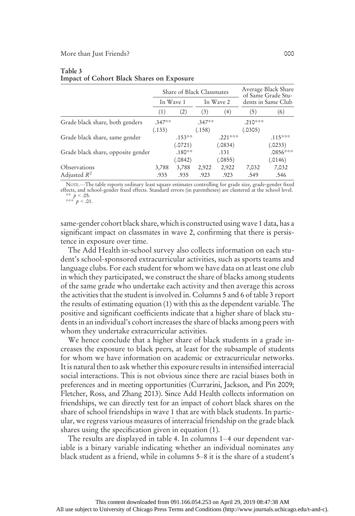|                                    |          | Share of Black Classmates | Average Black Share<br>of Same Grade Stu- |           |                    |            |
|------------------------------------|----------|---------------------------|-------------------------------------------|-----------|--------------------|------------|
|                                    |          | In Wave 1                 | In Wave 2                                 |           | dents in Same Club |            |
|                                    | (1)      | (2)                       | (3)                                       | (4)       | (5)                | (6)        |
| Grade black share, both genders    | $.347**$ |                           | $.347**$                                  |           | $.210***$          |            |
|                                    | (.133)   |                           | (.158)                                    |           | (.0305)            |            |
| Grade black share, same gender     |          | $.153***$                 |                                           | $.221***$ |                    | $.115***$  |
|                                    |          | (.0721)                   |                                           | (.0834)   |                    | (.0233)    |
| Grade black share, opposite gender |          | $.180***$                 |                                           | .131      |                    | $.0856***$ |
|                                    |          | (.0842)                   |                                           | (.0855)   |                    | (.0146)    |
| Observations                       | 3,788    | 3,788                     | 2,922                                     | 2,922     | 7,032              | 7,032      |
| Adjusted $R^2$                     | .935     | .935                      | .923                                      | .923      | .549               | .546       |

#### Table 3 Impact of Cohort Black Shares on Exposure

NOTE.—The table reports ordinary least square estimates controlling for grade size, grade-gender fixed effects, and school-gender fixed effects. Standard errors (in parentheses) are clustered at the school level.

\*\*  $p < .05$ .<br>\*\*\*  $p < .01$ .

same-gender cohort black share, which is constructed using wave 1 data, has a significant impact on classmates in wave 2, confirming that there is persistence in exposure over time.

The Add Health in-school survey also collects information on each student's school-sponsored extracurricular activities, such as sports teams and language clubs. For each student for whom we have data on at least one club in which they participated, we construct the share of blacks among students of the same grade who undertake each activity and then average this across the activities that the student is involved in. Columns 5 and 6 of table 3 report the results of estimating equation (1) with this as the dependent variable. The positive and significant coefficients indicate that a higher share of black students in an individual's cohort increases the share of blacks among peers with whom they undertake extracurricular activities.

We hence conclude that a higher share of black students in a grade increases the exposure to black peers, at least for the subsample of students for whom we have information on academic or extracurricular networks. It is natural then to ask whether this exposure results in intensified interracial social interactions. This is not obvious since there are racial biases both in preferences and in meeting opportunities (Currarini, Jackson, and Pin 2009; Fletcher, Ross, and Zhang 2013). Since Add Health collects information on friendships, we can directly test for an impact of cohort black shares on the share of school friendships in wave 1 that are with black students. In particular, we regress various measures of interracial friendship on the grade black shares using the specification given in equation (1).

The results are displayed in table 4. In columns 1–4 our dependent variable is a binary variable indicating whether an individual nominates any black student as a friend, while in columns 5–8 it is the share of a student's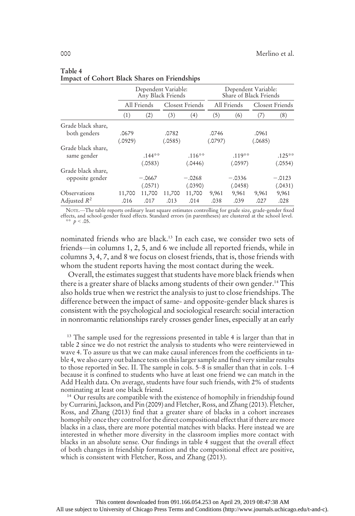|                                       | Dependent Variable:<br>Any Black Friends |                      |                  |                      |                  | Dependent Variable:<br>Share of Black Friends |                  |                      |
|---------------------------------------|------------------------------------------|----------------------|------------------|----------------------|------------------|-----------------------------------------------|------------------|----------------------|
|                                       |                                          | All Friends          | Closest Friends  |                      |                  | All Friends                                   | Closest Friends  |                      |
|                                       | (1)                                      | (2)                  | (3)              | (4)                  | (5)              | (6)                                           | (7)              | (8)                  |
| Grade black share,<br>both genders    | .0679<br>(.0929)                         |                      | .0782<br>(.0585) |                      | .0746<br>(.0797) |                                               | .0961<br>(.0685) |                      |
| Grade black share,<br>same gender     |                                          | $.144***$<br>(.0583) |                  | $.116***$<br>(.0446) |                  | $.119***$<br>(.0597)                          |                  | $.125***$<br>(.0554) |
| Grade black share,<br>opposite gender |                                          | $-.0667$<br>(.0571)  |                  | $-.0268$<br>(.0390)  |                  | $-.0336$<br>(.0458)                           |                  | $-.0123$<br>(.0431)  |
| Observations<br>Adjusted $R^2$        | 11,700<br>.016                           | 11,700<br>.017       | 11,700<br>.013   | 11,700<br>.014       | 9,961<br>.038    | 9,961<br>.039                                 | 9,961<br>.027    | 9,961<br>.028        |

# Table 4 Impact of Cohort Black Shares on Friendships

NOTE.—The table reports ordinary least square estimates controlling for grade size, grade-gender fixed effects, and school-gender fixed effects. Standard errors (in parentheses) are clustered at the school level. \*\*  $p < .05$ .

nominated friends who are black.13 In each case, we consider two sets of friends—in columns 1, 2, 5, and 6 we include all reported friends, while in columns 3, 4, 7, and 8 we focus on closest friends, that is, those friends with whom the student reports having the most contact during the week.

Overall, the estimates suggest that students have more black friends when there is a greater share of blacks among students of their own gender.<sup>14</sup> This also holds true when we restrict the analysis to just to close friendships. The difference between the impact of same- and opposite-gender black shares is consistent with the psychological and sociological research: social interaction in nonromantic relationships rarely crosses gender lines, especially at an early

<sup>13</sup> The sample used for the regressions presented in table 4 is larger than that in table 2 since we do not restrict the analysis to students who were reinterviewed in wave 4. To assure us that we can make causal inferences from the coefficients in table 4, we also carry out balance tests on this larger sample and find very similar results to those reported in Sec. II. The sample in cols. 5–8 is smaller than that in cols. 1–4 because it is confined to students who have at least one friend we can match in the Add Health data. On average, students have four such friends, with 2% of students nominating at least one black friend.

<sup>14</sup> Our results are compatible with the existence of homophily in friendship found by Currarini, Jackson, and Pin (2009) and Fletcher, Ross, and Zhang (2013). Fletcher, Ross, and Zhang (2013) find that a greater share of blacks in a cohort increases homophily once they control for the direct compositional effect that if there are more blacks in a class, there are more potential matches with blacks. Here instead we are interested in whether more diversity in the classroom implies more contact with blacks in an absolute sense. Our findings in table 4 suggest that the overall effect of both changes in friendship formation and the compositional effect are positive, which is consistent with Fletcher, Ross, and Zhang (2013).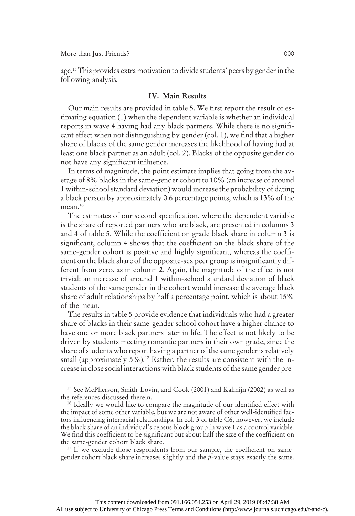age.15This provides extra motivation to divide students' peers by gender in the following analysis.

# IV. Main Results

Our main results are provided in table 5. We first report the result of estimating equation (1) when the dependent variable is whether an individual reports in wave 4 having had any black partners. While there is no significant effect when not distinguishing by gender (col. 1), we find that a higher share of blacks of the same gender increases the likelihood of having had at least one black partner as an adult (col. 2). Blacks of the opposite gender do not have any significant influence.

In terms of magnitude, the point estimate implies that going from the average of 8% blacks in the same-gender cohort to 10% (an increase of around 1 within-school standard deviation) would increase the probability of dating a black person by approximately 0.6 percentage points, which is 13% of the mean.<sup>16</sup>

The estimates of our second specification, where the dependent variable is the share of reported partners who are black, are presented in columns 3 and 4 of table 5. While the coefficient on grade black share in column 3 is significant, column 4 shows that the coefficient on the black share of the same-gender cohort is positive and highly significant, whereas the coefficient on the black share of the opposite-sex peer group is insignificantly different from zero, as in column 2. Again, the magnitude of the effect is not trivial: an increase of around 1 within-school standard deviation of black students of the same gender in the cohort would increase the average black share of adult relationships by half a percentage point, which is about 15% of the mean.

The results in table 5 provide evidence that individuals who had a greater share of blacks in their same-gender school cohort have a higher chance to have one or more black partners later in life. The effect is not likely to be driven by students meeting romantic partners in their own grade, since the share of students who report having a partner of the same gender is relatively small (approximately 5%).<sup>17</sup> Rather, the results are consistent with the increase in close social interactions with black students of the same gender pre-

<sup>15</sup> See McPherson, Smith-Lovin, and Cook (2001) and Kalmijn (2002) as well as the references discussed therein.

<sup>16</sup> Ideally we would like to compare the magnitude of our identified effect with the impact of some other variable, but we are not aware of other well-identified factors influencing interracial relationships. In col. 3 of table C6, however, we include the black share of an individual's census block group in wave 1 as a control variable. We find this coefficient to be significant but about half the size of the coefficient on the same-gender cohort black share.

<sup>17</sup> If we exclude those respondents from our sample, the coefficient on samegender cohort black share increases slightly and the p-value stays exactly the same.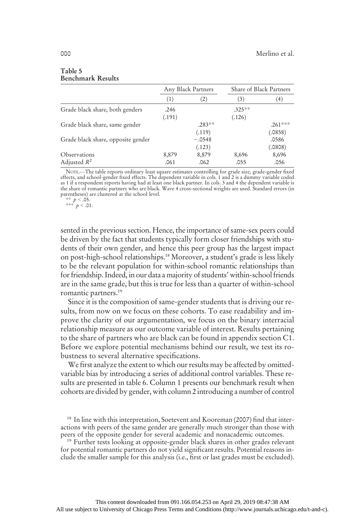|                                    | Any Black Partners |          |           | Share of Black Partners |
|------------------------------------|--------------------|----------|-----------|-------------------------|
|                                    | (1)                | (2)      | (3)       | (4)                     |
| Grade black share, both genders    | .246               |          | $.325***$ |                         |
|                                    | (.191)             |          | (.126)    |                         |
| Grade black share, same gender     |                    | $.283**$ |           | $.261***$               |
|                                    |                    | (.119)   |           | (.0858)                 |
| Grade black share, opposite gender |                    | $-.0548$ |           | .0586                   |
|                                    |                    | (.123)   |           | (.0808)                 |
| Observations                       | 8,879              | 8,879    | 8,696     | 8,696                   |
| Adjusted $R^2$                     | .061               | .062     | .055      | .056                    |

#### Table 5 Benchmark Results

NOTE.—The table reports ordinary least square estimates controlling for grade size, grade-gender fixed effects, and school-gender fixed effects. The dependent variable in cols. 1 and 2 is a dummy variable coded as 1 if a respondent reports having had at least one black partner. In cols. 3 and 4 the dependent variable is the share of romantic partners who are black. Wave 4 cross-sectional weights are used. Standard errors (in parentheses) are clustered at the school level.

\*\*  $p < .05$ .<br>\*\*\*  $p < .01$ .

sented in the previous section. Hence, the importance of same-sex peers could be driven by the fact that students typically form closer friendships with students of their own gender, and hence this peer group has the largest impact on post-high-school relationships.18 Moreover, a student's grade is less likely to be the relevant population for within-school romantic relationships than for friendship. Indeed, in our data a majority of students' within-school friends are in the same grade, but this is true for less than a quarter of within-school romantic partners.19

Since it is the composition of same-gender students that is driving our results, from now on we focus on these cohorts. To ease readability and improve the clarity of our argumentation, we focus on the binary interracial relationship measure as our outcome variable of interest. Results pertaining to the share of partners who are black can be found in appendix section C1. Before we explore potential mechanisms behind our result, we test its robustness to several alternative specifications.

We first analyze the extent to which our results may be affected by omittedvariable bias by introducing a series of additional control variables. These results are presented in table 6. Column 1 presents our benchmark result when cohorts are divided by gender, with column 2 introducing a number of control

<sup>19</sup> Further tests looking at opposite-gender black shares in other grades relevant for potential romantic partners do not yield significant results. Potential reasons include the smaller sample for this analysis (i.e., first or last grades must be excluded).

<sup>&</sup>lt;sup>18</sup> In line with this interpretation, Soetevent and Kooreman (2007) find that interactions with peers of the same gender are generally much stronger than those with peers of the opposite gender for several academic and nonacademic outcomes.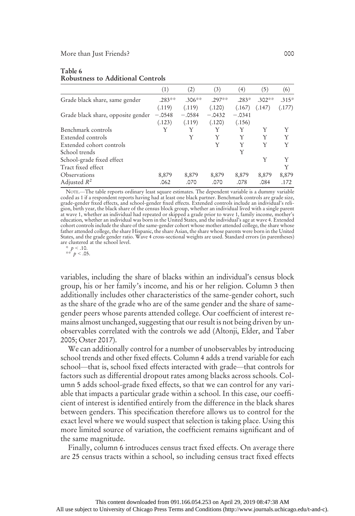#### Table 6 Robustness to Additional Controls

|                                    | (1)       | (2)       | (3)      | (4)      | (5)      | (6)     |
|------------------------------------|-----------|-----------|----------|----------|----------|---------|
| Grade black share, same gender     | $.283***$ | $.306***$ | $.297**$ | $.283*$  | $.302**$ | $.315*$ |
|                                    | (.119)    | (.119)    | (.120)   | (.167)   | (.147)   | (.177)  |
| Grade black share, opposite gender | $-.0548$  | $-.0584$  | $-.0432$ | $-.0341$ |          |         |
|                                    | (.123)    | (.119)    | (.120)   | (.156)   |          |         |
| Benchmark controls                 | Y         | Y         | Y        | Y        |          | Y       |
| Extended controls                  |           | Y         | Y        | Y        | Y        | Y       |
| Extended cohort controls           |           |           | Y        | Y        | Y        | Y       |
| School trends                      |           |           |          | Y        |          |         |
| School-grade fixed effect          |           |           |          |          | Y        | Y       |
| Tract fixed effect                 |           |           |          |          |          | Y       |
| Observations                       | 8,879     | 8,879     | 8,879    | 8,879    | 8,879    | 8,879   |
| Adjusted $R^2$                     | .062      | .070      | .070     | .078     | .084     | .172    |

NOTE.—The table reports ordinary least square estimates. The dependent variable is a dummy variable coded as 1 if a respondent reports having had at least one black partner. Benchmark controls are grade size, grade-gender fixed effects, and school-gender fixed effects. Extended controls include an individual's reli-<br>gion, birth year, the black share of the census block group, whether an individual lived with a single parent<br>at cohort controls include the share of the same-gender cohort whose mother attended college, the share whose<br>father attended college, the share Hispanic, the share Asian, the share whose parents were born in the United<br>State are clustered at the school level.

\*  $p < .10$ .<br>\*\*  $p < .05$ .

variables, including the share of blacks within an individual's census block group, his or her family's income, and his or her religion. Column 3 then additionally includes other characteristics of the same-gender cohort, such as the share of the grade who are of the same gender and the share of samegender peers whose parents attended college. Our coefficient of interest remains almost unchanged, suggesting that our result is not being driven by unobservables correlated with the controls we add (Altonji, Elder, and Taber 2005; Oster 2017).

We can additionally control for a number of unobservables by introducing school trends and other fixed effects. Column 4 adds a trend variable for each school—that is, school fixed effects interacted with grade—that controls for factors such as differential dropout rates among blacks across schools. Column 5 adds school-grade fixed effects, so that we can control for any variable that impacts a particular grade within a school. In this case, our coefficient of interest is identified entirely from the difference in the black shares between genders. This specification therefore allows us to control for the exact level where we would suspect that selection is taking place. Using this more limited source of variation, the coefficient remains significant and of the same magnitude.

Finally, column 6 introduces census tract fixed effects. On average there are 25 census tracts within a school, so including census tract fixed effects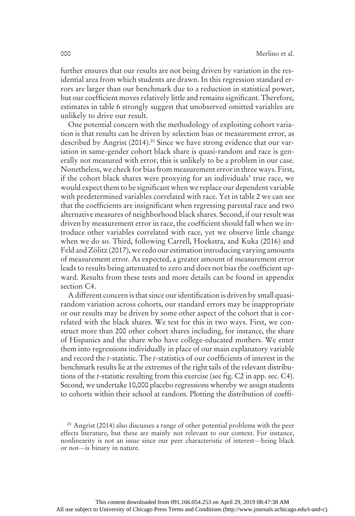further ensures that our results are not being driven by variation in the residential area from which students are drawn. In this regression standard errors are larger than our benchmark due to a reduction in statistical power, but our coefficient moves relatively little and remains significant. Therefore, estimates in table 6 strongly suggest that unobserved omitted variables are unlikely to drive our result.

One potential concern with the methodology of exploiting cohort variation is that results can be driven by selection bias or measurement error, as described by Angrist (2014).<sup>20</sup> Since we have strong evidence that our variation in same-gender cohort black share is quasi-random and race is generally not measured with error, this is unlikely to be a problem in our case. Nonetheless, we check for bias from measurement error in three ways. First, if the cohort black shares were proxying for an individuals' true race, we would expect them to be significant when we replace our dependent variable with predetermined variables correlated with race. Yet in table 2 we can see that the coefficients are insignificant when regressing parental race and two alternative measures of neighborhood black shares. Second, if our result was driven by measurement error in race, the coefficient should fall when we introduce other variables correlated with race, yet we observe little change when we do so. Third, following Carrell, Hoekstra, and Kuka (2016) and Feld and Zölitz (2017), we redo our estimation introducing varying amounts of measurement error. As expected, a greater amount of measurement error leads to results being attenuated to zero and does not bias the coefficient upward. Results from these tests and more details can be found in appendix section C4.

A different concern is that since our identification is driven by small quasirandom variation across cohorts, our standard errors may be inappropriate or our results may be driven by some other aspect of the cohort that is correlated with the black shares. We test for this in two ways. First, we construct more than 200 other cohort shares including, for instance, the share of Hispanics and the share who have college-educated mothers. We enter them into regressions individually in place of our main explanatory variable and record the t-statistic. The t-statistics of our coefficients of interest in the benchmark results lie at the extremes of the right tails of the relevant distributions of the t-statistic resulting from this exercise (see fig. C2 in app. sec. C4). Second, we undertake 10,000 placebo regressions whereby we assign students to cohorts within their school at random. Plotting the distribution of coeffi-

<sup>&</sup>lt;sup>20</sup> Angrist (2014) also discusses a range of other potential problems with the peer effects literature, but these are mainly not relevant to our context. For instance, nonlinearity is not an issue since our peer characteristic of interest—being black or not—is binary in nature.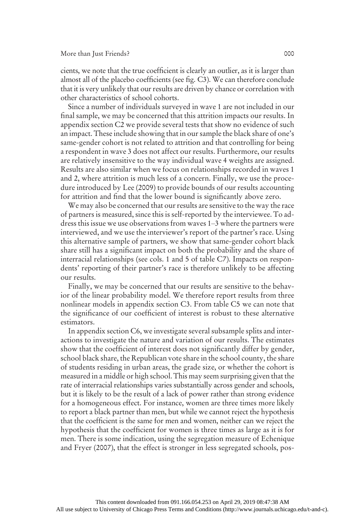cients, we note that the true coefficient is clearly an outlier, as it is larger than almost all of the placebo coefficients (see fig. C3). We can therefore conclude that it is very unlikely that our results are driven by chance or correlation with other characteristics of school cohorts.

Since a number of individuals surveyed in wave 1 are not included in our final sample, we may be concerned that this attrition impacts our results. In appendix section C2 we provide several tests that show no evidence of such an impact. These include showing that in our sample the black share of one's same-gender cohort is not related to attrition and that controlling for being a respondent in wave 3 does not affect our results. Furthermore, our results are relatively insensitive to the way individual wave 4 weights are assigned. Results are also similar when we focus on relationships recorded in waves 1 and 2, where attrition is much less of a concern. Finally, we use the procedure introduced by Lee (2009) to provide bounds of our results accounting for attrition and find that the lower bound is significantly above zero.

We may also be concerned that our results are sensitive to the way the race of partners is measured, since this is self-reported by the interviewee. To address this issue we use observations from waves 1–3 where the partners were interviewed, and we use the interviewer's report of the partner's race. Using this alternative sample of partners, we show that same-gender cohort black share still has a significant impact on both the probability and the share of interracial relationships (see cols. 1 and 5 of table C7). Impacts on respondents' reporting of their partner's race is therefore unlikely to be affecting our results.

Finally, we may be concerned that our results are sensitive to the behavior of the linear probability model. We therefore report results from three nonlinear models in appendix section C3. From table C5 we can note that the significance of our coefficient of interest is robust to these alternative estimators.

In appendix section C6, we investigate several subsample splits and interactions to investigate the nature and variation of our results. The estimates show that the coefficient of interest does not significantly differ by gender, school black share, the Republican vote share in the school county, the share of students residing in urban areas, the grade size, or whether the cohort is measured in a middle or high school. This may seem surprising given that the rate of interracial relationships varies substantially across gender and schools, but it is likely to be the result of a lack of power rather than strong evidence for a homogeneous effect. For instance, women are three times more likely to report a black partner than men, but while we cannot reject the hypothesis that the coefficient is the same for men and women, neither can we reject the hypothesis that the coefficient for women is three times as large as it is for men. There is some indication, using the segregation measure of Echenique and Fryer (2007), that the effect is stronger in less segregated schools, pos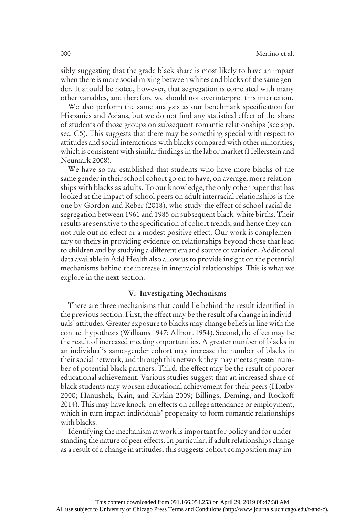sibly suggesting that the grade black share is most likely to have an impact when there is more social mixing between whites and blacks of the same gender. It should be noted, however, that segregation is correlated with many other variables, and therefore we should not overinterpret this interaction.

We also perform the same analysis as our benchmark specification for Hispanics and Asians, but we do not find any statistical effect of the share of students of those groups on subsequent romantic relationships (see app. sec. C5). This suggests that there may be something special with respect to attitudes and social interactions with blacks compared with other minorities, which is consistent with similar findings in the labor market (Hellerstein and Neumark 2008).

We have so far established that students who have more blacks of the same gender in their school cohort go on to have, on average, more relationships with blacks as adults. To our knowledge, the only other paper that has looked at the impact of school peers on adult interracial relationships is the one by Gordon and Reber (2018), who study the effect of school racial desegregation between 1961 and 1985 on subsequent black-white births. Their results are sensitive to the specification of cohort trends, and hence they cannot rule out no effect or a modest positive effect. Our work is complementary to theirs in providing evidence on relationships beyond those that lead to children and by studying a different era and source of variation. Additional data available in Add Health also allow us to provide insight on the potential mechanisms behind the increase in interracial relationships. This is what we explore in the next section.

# V. Investigating Mechanisms

There are three mechanisms that could lie behind the result identified in the previous section. First, the effect may be the result of a change in individuals' attitudes. Greater exposure to blacks may change beliefs in line with the contact hypothesis (Williams 1947; Allport 1954). Second, the effect may be the result of increased meeting opportunities. A greater number of blacks in an individual's same-gender cohort may increase the number of blacks in their social network, and through this network they may meet a greater number of potential black partners. Third, the effect may be the result of poorer educational achievement. Various studies suggest that an increased share of black students may worsen educational achievement for their peers (Hoxby 2000; Hanushek, Kain, and Rivkin 2009; Billings, Deming, and Rockoff 2014). This may have knock-on effects on college attendance or employment, which in turn impact individuals' propensity to form romantic relationships with blacks.

Identifying the mechanism at work is important for policy and for understanding the nature of peer effects. In particular, if adult relationships change as a result of a change in attitudes, this suggests cohort composition may im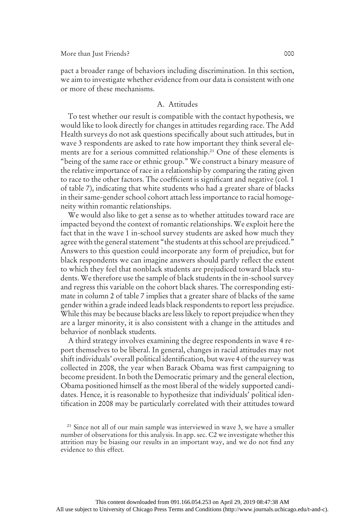pact a broader range of behaviors including discrimination. In this section, we aim to investigate whether evidence from our data is consistent with one or more of these mechanisms.

### A. Attitudes

To test whether our result is compatible with the contact hypothesis, we would like to look directly for changes in attitudes regarding race. The Add Health surveys do not ask questions specifically about such attitudes, but in wave 3 respondents are asked to rate how important they think several elements are for a serious committed relationship.<sup>21</sup> One of these elements is "being of the same race or ethnic group." We construct a binary measure of the relative importance of race in a relationship by comparing the rating given to race to the other factors. The coefficient is significant and negative (col. 1 of table 7), indicating that white students who had a greater share of blacks in their same-gender school cohort attach less importance to racial homogeneity within romantic relationships.

We would also like to get a sense as to whether attitudes toward race are impacted beyond the context of romantic relationships. We exploit here the fact that in the wave 1 in-school survey students are asked how much they agree with the general statement "the students at this school are prejudiced." Answers to this question could incorporate any form of prejudice, but for black respondents we can imagine answers should partly reflect the extent to which they feel that nonblack students are prejudiced toward black students. We therefore use the sample of black students in the in-school survey and regress this variable on the cohort black shares. The corresponding estimate in column 2 of table 7 implies that a greater share of blacks of the same gender within a grade indeed leads black respondents to report less prejudice. While this may be because blacks are less likely to report prejudice when they are a larger minority, it is also consistent with a change in the attitudes and behavior of nonblack students.

A third strategy involves examining the degree respondents in wave 4 report themselves to be liberal. In general, changes in racial attitudes may not shift individuals' overall political identification, but wave 4 of the survey was collected in 2008, the year when Barack Obama was first campaigning to become president. In both the Democratic primary and the general election, Obama positioned himself as the most liberal of the widely supported candidates. Hence, it is reasonable to hypothesize that individuals' political identification in 2008 may be particularly correlated with their attitudes toward

<sup>21</sup> Since not all of our main sample was interviewed in wave 3, we have a smaller number of observations for this analysis. In app. sec. C2 we investigate whether this attrition may be biasing our results in an important way, and we do not find any evidence to this effect.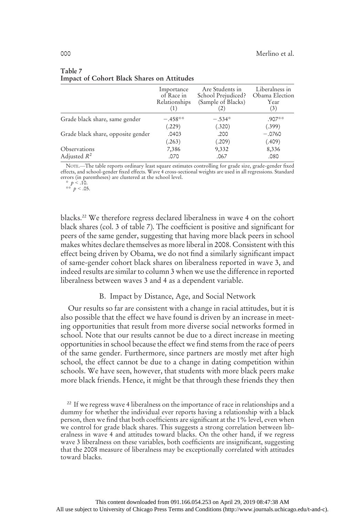|                                    | Importance<br>of Race in<br>Relationships | Are Students in<br>School Prejudiced?<br>(Sample of Blacks) | Liberalness in<br>Obama Election<br>Year<br>(3) |
|------------------------------------|-------------------------------------------|-------------------------------------------------------------|-------------------------------------------------|
| Grade black share, same gender     | $-.458**$                                 | $-.534*$                                                    | $.907**$                                        |
|                                    | (.229)                                    | (.320)                                                      | (.399)                                          |
| Grade black share, opposite gender | .0403                                     | .200                                                        | $-.0760$                                        |
|                                    | (.263)                                    | (.209)                                                      | (.409)                                          |
| Observations                       | 7,386                                     | 9,332                                                       | 8,336                                           |
| Adjusted $R^2$                     | .070                                      | .067                                                        | .080                                            |

#### Table 7 Impact of Cohort Black Shares on Attitudes

NOTE.—The table reports ordinary least square estimates controlling for grade size, grade-gender fixed effects, and school-gender fixed effects. Wave 4 cross-sectional weights are used in all regressions. Standard errors (in parentheses) are clustered at the school level.

\*  $p < .10$ .<br>\*\*  $p < .05$ .

blacks.22 We therefore regress declared liberalness in wave 4 on the cohort black shares (col. 3 of table 7). The coefficient is positive and significant for peers of the same gender, suggesting that having more black peers in school makes whites declare themselves as more liberal in 2008. Consistent with this effect being driven by Obama, we do not find a similarly significant impact of same-gender cohort black shares on liberalness reported in wave 3, and indeed results are similar to column 3 when we use the difference in reported liberalness between waves 3 and 4 as a dependent variable.

# B. Impact by Distance, Age, and Social Network

Our results so far are consistent with a change in racial attitudes, but it is also possible that the effect we have found is driven by an increase in meeting opportunities that result from more diverse social networks formed in school. Note that our results cannot be due to a direct increase in meeting opportunities in school because the effect we find stems from the race of peers of the same gender. Furthermore, since partners are mostly met after high school, the effect cannot be due to a change in dating competition within schools. We have seen, however, that students with more black peers make more black friends. Hence, it might be that through these friends they then

<sup>22</sup> If we regress wave 4 liberalness on the importance of race in relationships and a dummy for whether the individual ever reports having a relationship with a black person, then we find that both coefficients are significant at the 1% level, even when we control for grade black shares. This suggests a strong correlation between liberalness in wave 4 and attitudes toward blacks. On the other hand, if we regress wave 3 liberalness on these variables, both coefficients are insignificant, suggesting that the 2008 measure of liberalness may be exceptionally correlated with attitudes toward blacks.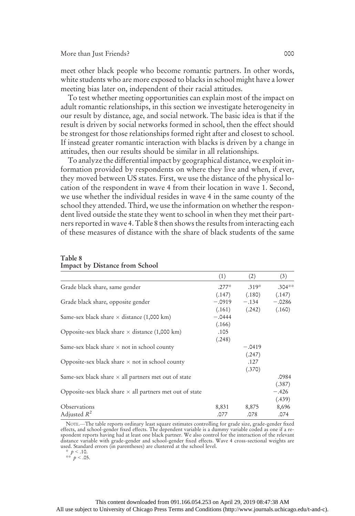#### More than Just Friends? 000

meet other black people who become romantic partners. In other words, white students who are more exposed to blacks in school might have a lower meeting bias later on, independent of their racial attitudes.

To test whether meeting opportunities can explain most of the impact on adult romantic relationships, in this section we investigate heterogeneity in our result by distance, age, and social network. The basic idea is that if the result is driven by social networks formed in school, then the effect should be strongest for those relationships formed right after and closest to school. If instead greater romantic interaction with blacks is driven by a change in attitudes, then our results should be similar in all relationships.

To analyze the differential impact by geographical distance, we exploit information provided by respondents on where they live and when, if ever, they moved between US states. First, we use the distance of the physical location of the respondent in wave 4 from their location in wave 1. Second, we use whether the individual resides in wave 4 in the same county of the school they attended. Third, we use the information on whether the respondent lived outside the state they went to school in when they met their partners reported in wave 4. Table 8 then shows the results from interacting each of these measures of distance with the share of black students of the same

|                                                                 | (1)      | (2)      | (3)      |
|-----------------------------------------------------------------|----------|----------|----------|
| Grade black share, same gender                                  | $.277*$  | $.319*$  | $.304**$ |
|                                                                 | (.147)   | (.180)   | (.147)   |
| Grade black share, opposite gender                              | $-.0919$ | $-.134$  | $-.0286$ |
|                                                                 | (.161)   | (.242)   | (.160)   |
| Same-sex black share $\times$ distance (1,000 km)               | $-.0444$ |          |          |
|                                                                 | (.166)   |          |          |
| Opposite-sex black share $\times$ distance (1,000 km)           | .105     |          |          |
|                                                                 | (.248)   |          |          |
| Same-sex black share $\times$ not in school county              |          | $-.0419$ |          |
|                                                                 |          | (.247)   |          |
| Opposite-sex black share $\times$ not in school county          |          | .127     |          |
|                                                                 |          | (.370)   |          |
| Same-sex black share $\times$ all partners met out of state     |          |          | .0984    |
|                                                                 |          |          | (.387)   |
| Opposite-sex black share $\times$ all partners met out of state |          |          | $-.426$  |
|                                                                 |          |          | (.439)   |
| Observations                                                    | 8,831    | 8,875    | 8,696    |
| Adjusted $R^2$                                                  | .077     | .078     | .074     |

#### Table 8 Impact by Distance from School

NOTE.—The table reports ordinary least square estimates controlling for grade size, grade-gender fixed effects, and school-gender fixed effects. The dependent variable is a dummy variable coded as one if a re-<br>spondent reports having had at least one black partner. We also control for the interaction of the relevant<br>distanc

\*  $p < .10$ .<br>\*\*  $p < .05$ .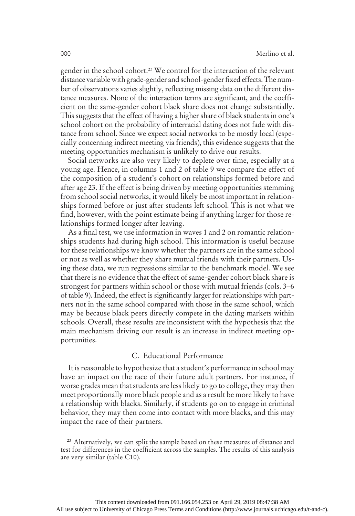gender in the school cohort.23 We control for the interaction of the relevant distance variable with grade-gender and school-gender fixed effects. The number of observations varies slightly, reflecting missing data on the different distance measures. None of the interaction terms are significant, and the coefficient on the same-gender cohort black share does not change substantially. This suggests that the effect of having a higher share of black students in one's school cohort on the probability of interracial dating does not fade with distance from school. Since we expect social networks to be mostly local (especially concerning indirect meeting via friends), this evidence suggests that the meeting opportunities mechanism is unlikely to drive our results.

Social networks are also very likely to deplete over time, especially at a young age. Hence, in columns 1 and 2 of table 9 we compare the effect of the composition of a student's cohort on relationships formed before and after age 23. If the effect is being driven by meeting opportunities stemming from school social networks, it would likely be most important in relationships formed before or just after students left school. This is not what we find, however, with the point estimate being if anything larger for those relationships formed longer after leaving.

As a final test, we use information in waves 1 and 2 on romantic relationships students had during high school. This information is useful because for these relationships we know whether the partners are in the same school or not as well as whether they share mutual friends with their partners. Using these data, we run regressions similar to the benchmark model. We see that there is no evidence that the effect of same-gender cohort black share is strongest for partners within school or those with mutual friends (cols. 3–6 of table 9). Indeed, the effect is significantly larger for relationships with partners not in the same school compared with those in the same school, which may be because black peers directly compete in the dating markets within schools. Overall, these results are inconsistent with the hypothesis that the main mechanism driving our result is an increase in indirect meeting opportunities.

#### C. Educational Performance

It is reasonable to hypothesize that a student's performance in school may have an impact on the race of their future adult partners. For instance, if worse grades mean that students are less likely to go to college, they may then meet proportionally more black people and as a result be more likely to have a relationship with blacks. Similarly, if students go on to engage in criminal behavior, they may then come into contact with more blacks, and this may impact the race of their partners.

<sup>23</sup> Alternatively, we can split the sample based on these measures of distance and test for differences in the coefficient across the samples. The results of this analysis are very similar (table C10).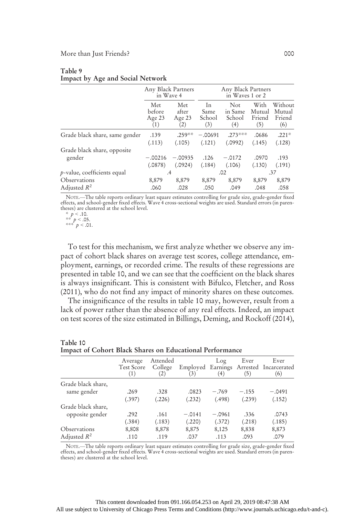| Table 9                          |  |
|----------------------------------|--|
| Impact by Age and Social Network |  |

|                                | Any Black Partners<br>in Wave 4 |           |           | Any Black Partners<br>in Waves 1 or 2 |        |         |
|--------------------------------|---------------------------------|-----------|-----------|---------------------------------------|--------|---------|
|                                | Met                             | Met       | In        | Not                                   | With   | Without |
|                                | before                          | after     | Same      | in Same                               | Mutual | Mutual  |
|                                | Age 23                          | Age 23    | School    | School                                | Friend | Friend  |
|                                | (1)                             | (2)       | (3)       | (4)                                   | (5)    | (6)     |
| Grade black share, same gender | .139                            | $.259**$  | $-.00691$ | $.273***$                             | .0686  | $.221*$ |
|                                | (.113)                          | (.105)    | (.121)    | (.0992)                               | (.145) | (.128)  |
| Grade black share, opposite    | $-.00216$                       | $-.00935$ | .126      | $-.0172$                              | .0970  | .193    |
| gender                         | (.0878)                         | (.0924)   | (.184)    | (.106)                                | (.130) | (.191)  |
| $p$ -value, coefficients equal | .4                              |           |           | .02                                   |        | .37     |
| Observations                   | 8,879                           | 8,879     | 8,879     | 8,879                                 | 8,879  | 8,879   |
| Adjusted $R^2$                 | .060                            | .028      | .050      | .049                                  | .048   | .058    |

NOTE.—The table reports ordinary least square estimates controlling for grade size, grade-gender fixed effects, and school-gender fixed effects. Wave 4 cross-sectional weights are used. Standard errors (in paren-theses) are clustered at the school level.

To test for this mechanism, we first analyze whether we observe any impact of cohort black shares on average test scores, college attendance, employment, earnings, or recorded crime. The results of these regressions are presented in table 10, and we can see that the coefficient on the black shares is always insignificant. This is consistent with Bifulco, Fletcher, and Ross (2011), who do not find any impact of minority shares on these outcomes.

The insignificance of the results in table 10 may, however, result from a lack of power rather than the absence of any real effects. Indeed, an impact on test scores of the size estimated in Billings, Deming, and Rockoff (2014),

|                    | Average<br>Test Score<br>(1) | Attended<br>College<br>(2) | Employed Earnings<br>(3) | Log<br>(4) | Ever<br>(5) | Ever<br>Arrested Incarcerated<br>(6) |
|--------------------|------------------------------|----------------------------|--------------------------|------------|-------------|--------------------------------------|
| Grade black share, |                              |                            |                          |            |             |                                      |
| same gender        | .269                         | .328                       | .0823                    | $-.769$    | $-.155$     | $-.0491$                             |
|                    | (.397)                       | (.226)                     | (.232)                   | (.498)     | (.239)      | (.152)                               |
| Grade black share, |                              |                            |                          |            |             |                                      |
| opposite gender    | .292                         | .161                       | $-.0141$                 | $-.0961$   | .336        | .0743                                |
|                    | (.384)                       | (.183)                     | (.220)                   | (.372)     | (.218)      | (.185)                               |
| Observations       | 8,808                        | 8,878                      | 8,875                    | 8,125      | 8,838       | 8,873                                |
| Adjusted $R^2$     | .110                         | .119                       | .037                     | .113       | .093        | .079                                 |

#### Table 10 Impact of Cohort Black Shares on Educational Performance

NOTE.—The table reports ordinary least square estimates controlling for grade size, grade-gender fixed effects, and school-gender fixed effects. Wave 4 cross-sectional weights are used. Standard errors (in paren-theses) are clustered at the school level.

 $*$   $p < .10$ .

<sup>\*\*</sup>  $p < .05$ .<br>\*\*\*  $p < .01$ .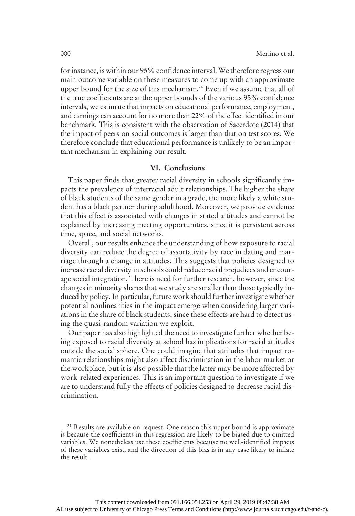for instance, is within our 95% confidence interval. We therefore regress our main outcome variable on these measures to come up with an approximate upper bound for the size of this mechanism.<sup>24</sup> Even if we assume that all of the true coefficients are at the upper bounds of the various 95% confidence intervals, we estimate that impacts on educational performance, employment, and earnings can account for no more than 22% of the effect identified in our benchmark. This is consistent with the observation of Sacerdote (2014) that the impact of peers on social outcomes is larger than that on test scores. We therefore conclude that educational performance is unlikely to be an important mechanism in explaining our result.

# VI. Conclusions

This paper finds that greater racial diversity in schools significantly impacts the prevalence of interracial adult relationships. The higher the share of black students of the same gender in a grade, the more likely a white student has a black partner during adulthood. Moreover, we provide evidence that this effect is associated with changes in stated attitudes and cannot be explained by increasing meeting opportunities, since it is persistent across time, space, and social networks.

Overall, our results enhance the understanding of how exposure to racial diversity can reduce the degree of assortativity by race in dating and marriage through a change in attitudes. This suggests that policies designed to increase racial diversity in schools could reduce racial prejudices and encourage social integration. There is need for further research, however, since the changes in minority shares that we study are smaller than those typically induced by policy. In particular, future work should further investigate whether potential nonlinearities in the impact emerge when considering larger variations in the share of black students, since these effects are hard to detect using the quasi-random variation we exploit.

Our paper has also highlighted the need to investigate further whether being exposed to racial diversity at school has implications for racial attitudes outside the social sphere. One could imagine that attitudes that impact romantic relationships might also affect discrimination in the labor market or the workplace, but it is also possible that the latter may be more affected by work-related experiences. This is an important question to investigate if we are to understand fully the effects of policies designed to decrease racial discrimination.

<sup>&</sup>lt;sup>24</sup> Results are available on request. One reason this upper bound is approximate is because the coefficients in this regression are likely to be biased due to omitted variables. We nonetheless use these coefficients because no well-identified impacts of these variables exist, and the direction of this bias is in any case likely to inflate the result.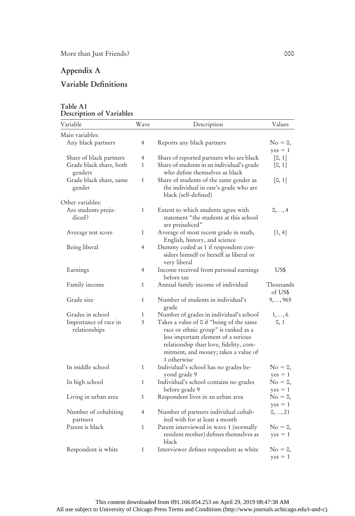# Appendix A

# Variable Definitions

| Variable                               | Wave           | Description                                                                                                                                                                                                              | Values                          |
|----------------------------------------|----------------|--------------------------------------------------------------------------------------------------------------------------------------------------------------------------------------------------------------------------|---------------------------------|
| Main variables:                        |                |                                                                                                                                                                                                                          |                                 |
| Any black partners                     | 4              | Reports any black partners                                                                                                                                                                                               | $\mathrm{No} = 0,$              |
|                                        |                |                                                                                                                                                                                                                          | $yes = 1$                       |
| Share of black partners                | 4              | Share of reported partners who are black                                                                                                                                                                                 | [0, 1]                          |
| Grade black share, both<br>genders     | $\mathbf{1}$   | Share of students in an individual's grade<br>who define themselves as black                                                                                                                                             | [0, 1]                          |
| Grade black share, same<br>gender      | $\mathbf{1}$   | Share of students of the same gender as<br>the individual in one's grade who are<br>black (self-defined)                                                                                                                 | [0, 1]                          |
| Other variables:                       |                |                                                                                                                                                                                                                          |                                 |
| Are students preju-<br>diced?          | $\mathbf{1}$   | Extent to which students agree with<br>statement "the students at this school<br>are prejudiced"                                                                                                                         | $0, \ldots, 4$                  |
| Average test score                     | 1              | Average of most recent grade in math,<br>English, history, and science                                                                                                                                                   | [1, 4]                          |
| Being liberal                          | 4              | Dummy coded as 1 if respondent con-<br>siders himself or herself as liberal or<br>very liberal                                                                                                                           |                                 |
| Earnings                               | $\overline{4}$ | Income received from personal earnings<br>before tax                                                                                                                                                                     | US\$                            |
| Family income                          | $\mathbf{1}$   | Annual family income of individual                                                                                                                                                                                       | Thousands<br>of US\$            |
| Grade size                             | $\mathbf{1}$   | Number of students in individual's<br>grade                                                                                                                                                                              | 9, , 965                        |
| Grades in school                       | $\mathbf{1}$   | Number of grades in individual's school                                                                                                                                                                                  | 1, , 6                          |
| Importance of race in<br>relationships | 3              | Takes a value of 0 if "being of the same<br>race or ethnic group" is ranked as a<br>less important element of a serious<br>relationship than love, fidelity, com-<br>mitment, and money; takes a value of<br>1 otherwise | 0, 1                            |
| In middle school                       | $\mathbf{1}$   | Individual's school has no grades be-<br>yond grade 9                                                                                                                                                                    | $\mathrm{No} = 0,$<br>$yes = 1$ |
| In high school                         | $\mathbf{1}$   | Individual's school contains no grades                                                                                                                                                                                   | $No = 0,$                       |
| Living in urban area                   | 1              | before grade 9<br>Respondent lives in an urban area                                                                                                                                                                      | $yes = 1$<br>$No = 0$           |
| Number of cohabiting<br>partners       | 4              | Number of partners individual cohab-<br>ited with for at least a month                                                                                                                                                   | $yes = 1$<br>$0, \ldots, 21$    |
| Parent is black                        | $\mathbf{1}$   | Parent interviewed in wave 1 (normally<br>resident mother) defines themselves as<br>black                                                                                                                                | $\mathrm{No} = 0,$<br>$yes = 1$ |
| Respondent is white                    | 1              | Interviewer defines respondent as white                                                                                                                                                                                  | $\mathrm{No} = 0,$<br>$yes = 1$ |

# Table A1 Description of Variables

This content downloaded from 091.166.054.253 on April 29, 2019 08:47:38 AM All use subject to University of Chicago Press Terms and Conditions (http://www.journals.uchicago.edu/t-and-c).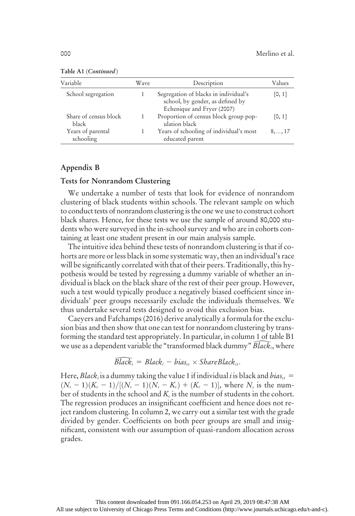| Variable                       | Wave | Description                                                                                             | Values          |
|--------------------------------|------|---------------------------------------------------------------------------------------------------------|-----------------|
| School segregation             |      | Segregation of blacks in individual's<br>school, by gender, as defined by<br>Echenique and Fryer (2007) | [0, 1]          |
| Share of census block<br>black |      | Proportion of census block group pop-<br>ulation black                                                  | [0, 1]          |
| Years of parental<br>schooling |      | Years of schooling of individual's most<br>educated parent                                              | $8, \ldots, 17$ |

Table A1 (Continued)

# Appendix B

#### Tests for Nonrandom Clustering

We undertake a number of tests that look for evidence of nonrandom clustering of black students within schools. The relevant sample on which to conduct tests of nonrandom clustering is the one we use to construct cohort black shares. Hence, for these tests we use the sample of around 80,000 students who were surveyed in the in-school survey and who are in cohorts containing at least one student present in our main analysis sample.

The intuitive idea behind these tests of nonrandom clustering is that if cohorts are more or less black in some systematic way, then an individual's race will be significantly correlated with that of their peers. Traditionally, this hypothesis would be tested by regressing a dummy variable of whether an individual is black on the black share of the rest of their peer group. However, such a test would typically produce a negatively biased coefficient since individuals' peer groups necessarily exclude the individuals themselves. We thus undertake several tests designed to avoid this exclusion bias. black shares. Hence, for these tests we use the sample of around 80,000 stu-<br>dents who were surveyed in the in-school survey and who are in cohorts con-<br>taining at least one student present in our main analysis sample.<br>Th is estudent present in our main analysis sat<br>lea behind these tests of nonrandom clust<br>less black in some systematic way, then at<br>ly correlated with that of their peers. Trad<br>e tested by regressing a dummy variable<br>on the

Caeyers and Fafchamps (2016) derive analytically a formula for the exclusion bias and then show that one can test for nonrandom clustering by transforming the standard test appropriately. In particular, in column 1 of table B1

$$
\bar{Black}_i = Black_i - bias_{cs} \times SharedBlack_{cs}
$$

Here, Black, is a dummy taking the value 1 if individual i is black and bias<sub>cs</sub> =  $(N_s - 1)(K_c - 1)/[(N_s - 1)(N_s - K_c) + (K_c - 1)]$ , where  $N_s$  is the number of students in the school and  $K_c$  is the number of students in the cohort. The regression produces an insignificant coefficient and hence does not reject random clustering. In column 2, we carry out a similar test with the grade divided by gender. Coefficients on both peer groups are small and insignificant, consistent with our assumption of quasi-random allocation across grades.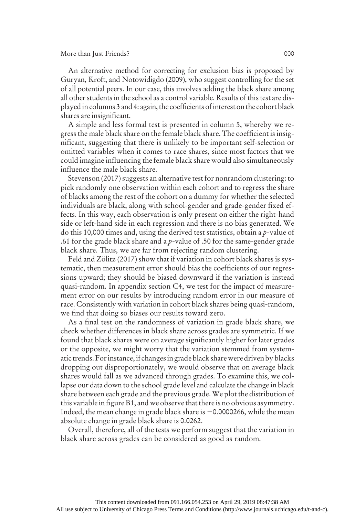#### More than Just Friends? 000

An alternative method for correcting for exclusion bias is proposed by Guryan, Kroft, and Notowidigdo (2009), who suggest controlling for the set of all potential peers. In our case, this involves adding the black share among all other students in the school as a control variable. Results of this test are displayed in columns 3 and 4: again, the coefficients of interest on the cohort black shares are insignificant.

A simple and less formal test is presented in column 5, whereby we regress the male black share on the female black share. The coefficient is insignificant, suggesting that there is unlikely to be important self-selection or omitted variables when it comes to race shares, since most factors that we could imagine influencing the female black share would also simultaneously influence the male black share.

Stevenson (2017) suggests an alternative test for nonrandom clustering: to pick randomly one observation within each cohort and to regress the share of blacks among the rest of the cohort on a dummy for whether the selected individuals are black, along with school-gender and grade-gender fixed effects. In this way, each observation is only present on either the right-hand side or left-hand side in each regression and there is no bias generated. We do this 10,000 times and, using the derived test statistics, obtain a p-value of .61 for the grade black share and a  $p$ -value of .50 for the same-gender grade black share. Thus, we are far from rejecting random clustering.

Feld and Zölitz (2017) show that if variation in cohort black shares is systematic, then measurement error should bias the coefficients of our regressions upward; they should be biased downward if the variation is instead quasi-random. In appendix section C4, we test for the impact of measurement error on our results by introducing random error in our measure of race. Consistently with variation in cohort black shares being quasi-random, we find that doing so biases our results toward zero.

As a final test on the randomness of variation in grade black share, we check whether differences in black share across grades are symmetric. If we found that black shares were on average significantly higher for later grades or the opposite, we might worry that the variation stemmed from systematic trends. Forinstance, if changes in grade black share were driven by blacks dropping out disproportionately, we would observe that on average black shares would fall as we advanced through grades. To examine this, we collapse our data down to the school grade level and calculate the change in black share between each grade and the previous grade. We plot the distribution of this variable in figure B1, and we observe that there is no obvious asymmetry. Indeed, the mean change in grade black share is  $-0.0000266$ , while the mean absolute change in grade black share is 0.0262.

Overall, therefore, all of the tests we perform suggest that the variation in black share across grades can be considered as good as random.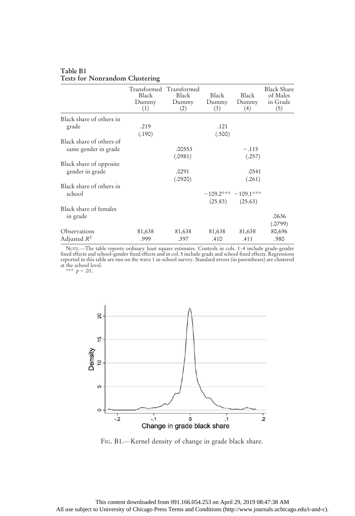|                          | Black<br>Dummy<br>(1) | Transformed Transformed<br>Black<br>Dummy<br>(2) | Black<br>Dummy<br>(3) | Black<br>Dummy<br>(4) | <b>Black Share</b><br>of Males<br>in Grade<br>(5) |
|--------------------------|-----------------------|--------------------------------------------------|-----------------------|-----------------------|---------------------------------------------------|
| Black share of others in |                       |                                                  |                       |                       |                                                   |
| grade                    | .219                  |                                                  | .121                  |                       |                                                   |
|                          | (.190)                |                                                  | (.500)                |                       |                                                   |
| Black share of others of |                       |                                                  |                       |                       |                                                   |
| same gender in grade     |                       | .00553                                           |                       | $-.115$               |                                                   |
|                          |                       | (.0981)                                          |                       | (.257)                |                                                   |
| Black share of opposite  |                       |                                                  |                       |                       |                                                   |
| gender in grade          |                       | .0291                                            |                       | .0541                 |                                                   |
|                          |                       | (.0920)                                          |                       | (.261)                |                                                   |
| Black share of others in |                       |                                                  |                       |                       |                                                   |
| school                   |                       |                                                  | $-109.2***-109.1***$  |                       |                                                   |
|                          |                       |                                                  | (25.83)               | (25.63)               |                                                   |
| Black share of females   |                       |                                                  |                       |                       |                                                   |
| in grade                 |                       |                                                  |                       |                       | .0636                                             |
|                          |                       |                                                  |                       |                       | (.0799)                                           |
| Observations             | 81,638                | 81,638                                           | 81,638                | 81,638                | 80,696                                            |
| Adjusted $R^2$           | .999                  | .397                                             | .410                  | .411                  | .980                                              |

#### Table B1 Tests for Nonrandom Clustering

NOTE.—The table reports ordinary least square estimates. Controls in cols. 1–4 include grade-gender<br>fixed effects and school-gender fixed effects and in col. 5 include grade and school fixed effects. Regressions<br>reported i at the school level.<br>\*\*\*  $p < .01$ .



FIG. B1.—Kernel density of change in grade black share.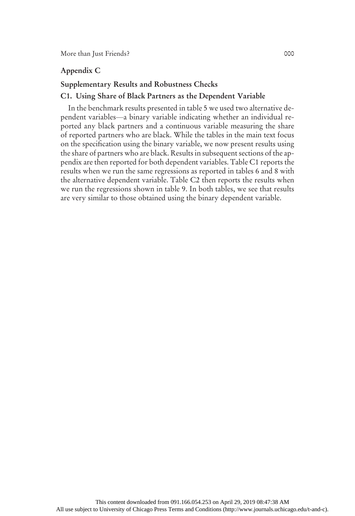# Appendix C

### Supplementary Results and Robustness Checks

#### C1. Using Share of Black Partners as the Dependent Variable

In the benchmark results presented in table 5 we used two alternative dependent variables—a binary variable indicating whether an individual reported any black partners and a continuous variable measuring the share of reported partners who are black. While the tables in the main text focus on the specification using the binary variable, we now present results using the share of partners who are black. Results in subsequent sections of the appendix are then reported for both dependent variables. Table C1 reports the results when we run the same regressions as reported in tables 6 and 8 with the alternative dependent variable. Table C2 then reports the results when we run the regressions shown in table 9. In both tables, we see that results are very similar to those obtained using the binary dependent variable.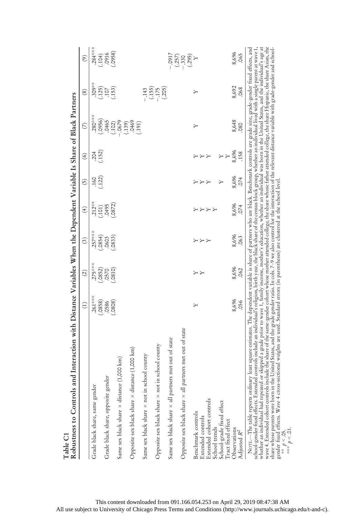| Robustness to Controls and Interaction with Distance Variables When the Dependent Variable Is Share of Black Partners<br>Table C1                                                                                                                                                                                                                                                                                                                                                                                                                                                                                                                                                                                                                                                                                |                              |                  |                     |                    |                           |                    |                  |                              |                                      |
|------------------------------------------------------------------------------------------------------------------------------------------------------------------------------------------------------------------------------------------------------------------------------------------------------------------------------------------------------------------------------------------------------------------------------------------------------------------------------------------------------------------------------------------------------------------------------------------------------------------------------------------------------------------------------------------------------------------------------------------------------------------------------------------------------------------|------------------------------|------------------|---------------------|--------------------|---------------------------|--------------------|------------------|------------------------------|--------------------------------------|
|                                                                                                                                                                                                                                                                                                                                                                                                                                                                                                                                                                                                                                                                                                                                                                                                                  | $\left( \frac{1}{2} \right)$ | $\widehat{c}$    | $\widehat{c}$       | $\left( 4\right)$  | $\widetilde{\mathcal{L}}$ | $\circledcirc$     | $\circ$          | (8)                          | $\odot$                              |
| Grade black share, same gender                                                                                                                                                                                                                                                                                                                                                                                                                                                                                                                                                                                                                                                                                                                                                                                   | $.261***$<br>(.0858)         | $.275***$        | $.257***$<br>(6854) | $.212***$<br>(101) | (122)<br>.160             | $.204$<br>$(.152)$ | $.280***$        | $.309***$                    | $284***$                             |
| Grade black share, opposite gender                                                                                                                                                                                                                                                                                                                                                                                                                                                                                                                                                                                                                                                                                                                                                                               | .0586                        | (.0852)<br>.0570 | .0603               | .0495              |                           |                    | (.0956)<br>.0465 | $(125)$<br>$(107)$           | $(104)$<br>$(916)$                   |
| Same sex black share $\times$ distance (1,000 km)                                                                                                                                                                                                                                                                                                                                                                                                                                                                                                                                                                                                                                                                                                                                                                | (.808)                       | (.0810)          | (.0833)             | .0872)             |                           |                    | 679.<br>(.102)   | (.153)                       | (0.058)                              |
| Opposite sex black share $\times$ distance (1,000 km)                                                                                                                                                                                                                                                                                                                                                                                                                                                                                                                                                                                                                                                                                                                                                            |                              |                  |                     |                    |                           |                    | (0.139)          |                              |                                      |
| Same sex black share $\times$ not in school county                                                                                                                                                                                                                                                                                                                                                                                                                                                                                                                                                                                                                                                                                                                                                               |                              |                  |                     |                    |                           |                    | (191)            | $-.143$                      |                                      |
| Opposite sex black share $\times$ not in school county                                                                                                                                                                                                                                                                                                                                                                                                                                                                                                                                                                                                                                                                                                                                                           |                              |                  |                     |                    |                           |                    |                  | $(155)$<br>$-175$<br>$(205)$ |                                      |
| Same sex black share $\times$ all partners met out of state                                                                                                                                                                                                                                                                                                                                                                                                                                                                                                                                                                                                                                                                                                                                                      |                              |                  |                     |                    |                           |                    |                  |                              | CI60 <sup>-</sup>                    |
| Opposite sex black share x all partners met out of state                                                                                                                                                                                                                                                                                                                                                                                                                                                                                                                                                                                                                                                                                                                                                         |                              |                  |                     |                    |                           |                    |                  |                              | $(257)$<br>$(330)$<br>$(295)$<br>$Y$ |
| Extended cohort controls<br>Benchmark controls<br>Extended controls                                                                                                                                                                                                                                                                                                                                                                                                                                                                                                                                                                                                                                                                                                                                              | ≻                            | ΥY               | メスス                 | ととと<br>Υ           | ととと                       | ととと                | ≻                | ≻                            |                                      |
| School-grade fixed effect<br>Tract fixed effect<br>School trends                                                                                                                                                                                                                                                                                                                                                                                                                                                                                                                                                                                                                                                                                                                                                 |                              |                  |                     |                    | Υ                         | Y<br>Υ             |                  |                              |                                      |
| Observations<br>Adjusted $R^2$                                                                                                                                                                                                                                                                                                                                                                                                                                                                                                                                                                                                                                                                                                                                                                                   | 8,696<br>.056                | 8,696<br>.062    | 8,696<br>.063       | 8,696<br>074       | 8,696<br>.074             | 8,696<br>.158      | 8,648<br>080     | 8,692<br>.068                | 8,696<br>.065                        |
| wave 4. Extended cohort controls include the slate of the same-gender cohort whose mother attended college, the share whose father attended college, the share Hispanic, the share Asian, the<br>NOTE—The table reports ordinary least square estimates. The dependent variable is share of partners who are black. Benchmark controls are grade size, grade-gender fixed effects, and<br>school-gender fixed effects. Extended co<br>share whose parents were born in the United States, and the grade gender ratio. In cols. 7–9 we also control for the interaction of the relevant distance variable with grade-gender and school-<br>gender fixed effects. Wave 4 cross-sectional weights are used. Standard errors (in parentheses) are clustered at the school level<br>** $p < .05$ .<br>*** $p < .01$ . |                              |                  |                     |                    |                           |                    |                  |                              |                                      |

This content downloaded from 091.166.054.253 on April 29, 2019 08:47:38 AM All use subject to University of Chicago Press Terms and Conditions (http://www.journals.uchicago.edu/t-and-c).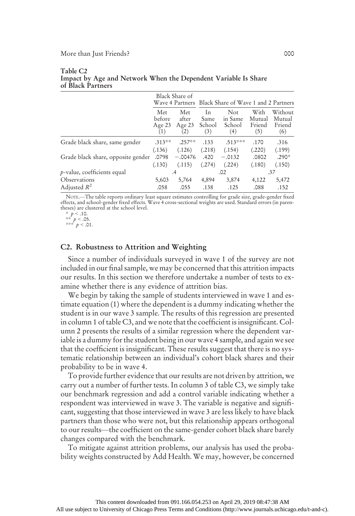|                                    |                                       | Black Share of                       |                             | Wave 4 Partners Black Share of Wave 1 and 2 Partners |                                 |                                    |
|------------------------------------|---------------------------------------|--------------------------------------|-----------------------------|------------------------------------------------------|---------------------------------|------------------------------------|
|                                    | <b>Met</b><br>before<br>Age 23<br>(1) | <b>Met</b><br>after<br>Age 23<br>(2) | In<br>Same<br>School<br>(3) | Not<br>in Same<br>School<br>(4)                      | With<br>Mutual<br>Friend<br>(5) | Without<br>Mutual<br>Friend<br>(6) |
| Grade black share, same gender     | $.313***$                             | $.257**$                             | .133                        | $.513***$                                            | .170                            | .316                               |
|                                    | (.136)                                | (.126)                               | (.218)                      | (.154)                                               | (.220)                          | (.199)                             |
| Grade black share, opposite gender | .0798                                 | $-.00476$                            | .420                        | $-.0132$                                             | .0802                           | $.290*$                            |
|                                    | (.130)                                | (.115)                               | (.274)                      | (.224)                                               | (.180)                          | (.150)                             |
| $p$ -value, coefficients equal     |                                       | .4                                   |                             | .02                                                  |                                 | .37                                |
| Observations                       | 5,603                                 | 5,764                                | 4,894                       | 3,874                                                | 4,122                           | 5,472                              |
| Adjusted $R^2$                     | .058                                  | .055                                 | .138                        | .125                                                 | .088                            | .152                               |

#### Table C2 Impact by Age and Network When the Dependent Variable Is Share of Black Partners

NOTE.—The table reports ordinary least square estimates controlling for grade size, grade-gender fixed effects, and school-gender fixed effects. Wave 4 cross-sectional weights are used. Standard errors (in parentheses) are clustered at the school level.

\*\*  $p < .05$ .<br>\*\*\*  $p < .01$ .

# C2. Robustness to Attrition and Weighting

Since a number of individuals surveyed in wave 1 of the survey are not included in our final sample, we may be concerned that this attrition impacts our results. In this section we therefore undertake a number of tests to examine whether there is any evidence of attrition bias.

We begin by taking the sample of students interviewed in wave 1 and estimate equation (1) where the dependent is a dummy indicating whether the student is in our wave 3 sample. The results of this regression are presented in column 1 of table C3, and we note that the coefficient is insignificant. Column 2 presents the results of a similar regression where the dependent variable is a dummy for the student being in our wave 4 sample, and again we see that the coefficient is insignificant. These results suggest that there is no systematic relationship between an individual's cohort black shares and their probability to be in wave 4.

To provide further evidence that our results are not driven by attrition, we carry out a number of further tests. In column 3 of table C3, we simply take our benchmark regression and add a control variable indicating whether a respondent was interviewed in wave 3. The variable is negative and significant, suggesting that those interviewed in wave 3 are less likely to have black partners than those who were not, but this relationship appears orthogonal to our results—the coefficient on the same-gender cohort black share barely changes compared with the benchmark.

To mitigate against attrition problems, our analysis has used the probability weights constructed by Add Health. We may, however, be concerned

 $p < 10$ .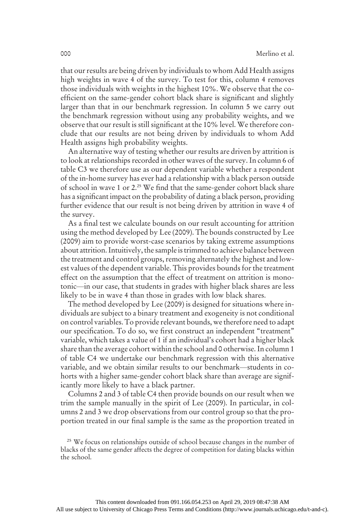that our results are being driven by individuals to whom Add Health assigns high weights in wave 4 of the survey. To test for this, column 4 removes those individuals with weights in the highest 10%. We observe that the coefficient on the same-gender cohort black share is significant and slightly larger than that in our benchmark regression. In column 5 we carry out the benchmark regression without using any probability weights, and we observe that our result is still significant at the 10% level. We therefore conclude that our results are not being driven by individuals to whom Add Health assigns high probability weights.

An alternative way of testing whether our results are driven by attrition is to look at relationships recorded in other waves of the survey. In column 6 of table C3 we therefore use as our dependent variable whether a respondent of the in-home survey has ever had a relationship with a black person outside of school in wave 1 or 2.<sup>25</sup> We find that the same-gender cohort black share has a significant impact on the probability of dating a black person, providing further evidence that our result is not being driven by attrition in wave 4 of the survey.

As a final test we calculate bounds on our result accounting for attrition using the method developed by Lee (2009). The bounds constructed by Lee (2009) aim to provide worst-case scenarios by taking extreme assumptions about attrition. Intuitively, the sample is trimmed to achieve balance between the treatment and control groups, removing alternately the highest and lowest values of the dependent variable. This provides bounds for the treatment effect on the assumption that the effect of treatment on attrition is monotonic—in our case, that students in grades with higher black shares are less likely to be in wave 4 than those in grades with low black shares.

The method developed by Lee (2009) is designed for situations where individuals are subject to a binary treatment and exogeneity is not conditional on control variables. To provide relevant bounds, we therefore need to adapt our specification. To do so, we first construct an independent "treatment" variable, which takes a value of 1 if an individual's cohort had a higher black share than the average cohort within the school and 0 otherwise. In column 1 of table C4 we undertake our benchmark regression with this alternative variable, and we obtain similar results to our benchmark—students in cohorts with a higher same-gender cohort black share than average are significantly more likely to have a black partner.

Columns 2 and 3 of table C4 then provide bounds on our result when we trim the sample manually in the spirit of Lee (2009). In particular, in columns 2 and 3 we drop observations from our control group so that the proportion treated in our final sample is the same as the proportion treated in

<sup>&</sup>lt;sup>25</sup> We focus on relationships outside of school because changes in the number of blacks of the same gender affects the degree of competition for dating blacks within the school.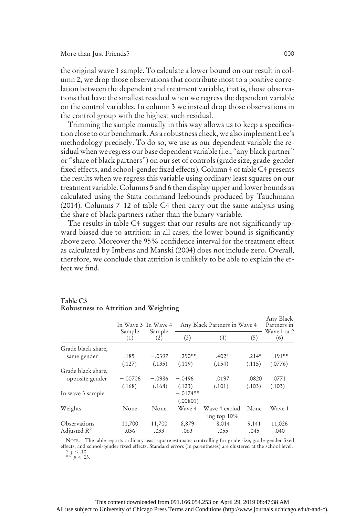the original wave 1 sample. To calculate a lower bound on our result in column 2, we drop those observations that contribute most to a positive correlation between the dependent and treatment variable, that is, those observations that have the smallest residual when we regress the dependent variable on the control variables. In column 3 we instead drop those observations in the control group with the highest such residual.

Trimming the sample manually in this way allows us to keep a specification close to our benchmark. As a robustness check, we also implement Lee's methodology precisely. To do so, we use as our dependent variable the residual when we regress our base dependent variable (i.e., "any black partner" or "share of black partners") on our set of controls (grade size, grade-gender fixed effects, and school-gender fixed effects). Column 4 of table C4 presents the results when we regress this variable using ordinary least squares on our treatment variable. Columns 5 and 6 then display upper and lower bounds as calculated using the Stata command leebounds produced by Tauchmann (2014). Columns 7–12 of table C4 then carry out the same analysis using the share of black partners rather than the binary variable.

The results in table C4 suggest that our results are not significantly upward biased due to attrition: in all cases, the lower bound is significantly above zero. Moreover the 95% confidence interval for the treatment effect as calculated by Imbens and Manski (2004) does not include zero. Overall, therefore, we conclude that attrition is unlikely to be able to explain the effect we find.

|                                       |                     | In Wave 3 In Wave 4 |                        | Any Black Partners in Wave 4       |                 | Any Black<br>Partners in |
|---------------------------------------|---------------------|---------------------|------------------------|------------------------------------|-----------------|--------------------------|
|                                       | Sample<br>(1)       | Sample<br>(2)       | (3)                    | (4)                                | (5)             | Wave 1 or 2<br>(6)       |
| Grade black share,                    | .185                | $-.0397$            | $.290**$               | $.402**$                           | $.214*$         | $.191***$                |
| same gender                           | (.127)              | (.135)              | (.119)                 | (.154)                             | (.115)          | (.0776)                  |
| Grade black share,<br>opposite gender | $-.00706$<br>(.168) | $-.0986$<br>(.168)  | $-.0496$<br>(.123)     | .0197<br>(.101)                    | .0820<br>(.103) | .0771<br>(.103)          |
| In wave 3 sample                      |                     |                     | $-.0174**$<br>(.00801) |                                    |                 |                          |
| Weights                               | None                | None                | Wave 4                 | Wave 4 exclud- None<br>ing top 10% |                 | Wave 1                   |
| Observations                          | 11,700              | 11,700              | 8,879                  | 8,014                              | 9,141           | 11,026                   |
| Adjusted $R^2$                        | .036                | .033                | .063                   | .055                               | .045            | .040                     |

#### Table C3 Robustness to Attrition and Weighting

NOTE.—The table reports ordinary least square estimates controlling for grade size, grade-gender fixed effects, and school-gender fixed effects. Standard errors (in parentheses) are clustered at the school level.

\*  $p < .10$ .<br>\*\*  $p < .05$ .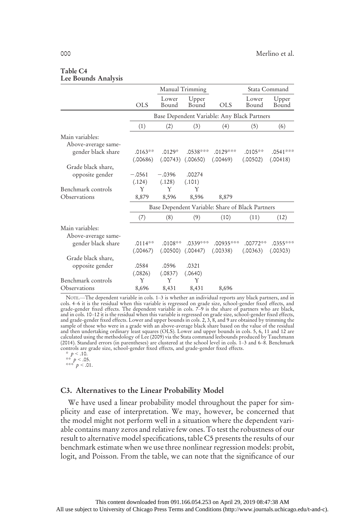#### Table C4 Lee Bounds Analysis

|                     |            |                | Manual Trimming |                                                  |                | Stata Command  |
|---------------------|------------|----------------|-----------------|--------------------------------------------------|----------------|----------------|
|                     | <b>OLS</b> | Lower<br>Bound | Upper<br>Bound  | <b>OLS</b>                                       | Lower<br>Bound | Upper<br>Bound |
|                     |            |                |                 | Base Dependent Variable: Any Black Partners      |                |                |
|                     | (1)        | (2)            | (3)             | (4)                                              | (5)            | (6)            |
| Main variables:     |            |                |                 |                                                  |                |                |
| Above-average same- |            |                |                 |                                                  |                |                |
| gender black share  | $.0163**$  | $.0129*$       | $.0538***$      | $.0129***$                                       | $.0105***$     | $.0541***$     |
|                     | (.00686)   | (.00743)       | (.00650)        | (.00469)                                         | (.00502)       | (.00418)       |
| Grade black share,  |            |                |                 |                                                  |                |                |
| opposite gender     | $-.0561$   | $-.0396$       | .00274          |                                                  |                |                |
|                     | (.124)     | (.128)         | (.101)          |                                                  |                |                |
| Benchmark controls  | Y          | Y              | Y               |                                                  |                |                |
| Observations        | 8,879      | 8,596          | 8,596           | 8,879                                            |                |                |
|                     |            |                |                 | Base Dependent Variable: Share of Black Partners |                |                |
|                     | (7)        | (8)            | (9)             | (10)                                             | (11)           | (12)           |
| Main variables:     |            |                |                 |                                                  |                |                |
| Above-average same- |            |                |                 |                                                  |                |                |
| gender black share  | $.0114**$  | $.0108**$      | $.0339***$      | $.00935***$                                      | .00772**       | $.0355***$     |
|                     | (.00467)   | (.00500)       | (.00447)        | (.00338)                                         | (.00363)       | (.00303)       |
| Grade black share,  |            |                |                 |                                                  |                |                |
| opposite gender     | .0584      | .0596          | .0321           |                                                  |                |                |
|                     | (.0826)    | (.0837)        | (.0640)         |                                                  |                |                |
| Benchmark controls  | Y          | Y              | Y               |                                                  |                |                |
| Observations        | 8,696      | 8,431          | 8,431           | 8,696                                            |                |                |

NOTE.—The dependent variable in cols. 1–3 is whether an individual reports any black partners, and in cols. 4–6 it is the residual when this variable is regressed on grade size, school-gender fixed effects, and grade-gender fixed effects. The dependent variable in cols. 7–9 is the share of partners who are black, and in cols. 10–12 it is the residual when this variable is regressed on grade size, school-gender fixed effects,<br>and grade-gender fixed effects. Lower and upper bounds in cols. 2, 3, 8, and 9 are obtained by trimming the<br> and then undertaking ordinary least squares (OLS). Lower and upper bounds in cols. 5, 6, 11 and 12 are calculated using the methodology of Lee (2009) via the Stata command leebounds produced by Tauchmann (2014). Standard errors (in parentheses) are clustered at the school level in cols. 1–3 and 6–8. Benchmark controls are grade size, school-gender fixed effects, and grade-gender fixed effects.

\*  $p < .10$ .<br>\*\*  $p < .05$ .<br>\*\*\*  $p < .01$ .

# C3. Alternatives to the Linear Probability Model

We have used a linear probability model throughout the paper for simplicity and ease of interpretation. We may, however, be concerned that the model might not perform well in a situation where the dependent variable contains many zeros and relative few ones. To test the robustness of our result to alternative model specifications, table C5 presents the results of our benchmark estimate when we use three nonlinear regression models: probit, logit, and Poisson. From the table, we can note that the significance of our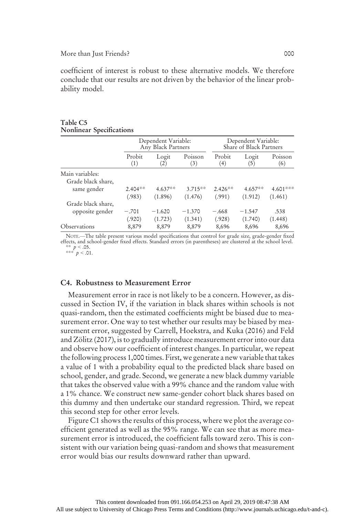#### More than Just Friends? 000

coefficient of interest is robust to these alternative models. We therefore conclude that our results are not driven by the behavior of the linear probability model.

|                    |               | Dependent Variable:<br>Any Black Partners |                |               | Dependent Variable:<br>Share of Black Partners |                |
|--------------------|---------------|-------------------------------------------|----------------|---------------|------------------------------------------------|----------------|
|                    | Probit<br>(1) | Logit<br>$\left( 2\right)$                | Poisson<br>(3) | Probit<br>(4) | Logit<br>(5)                                   | Poisson<br>(6) |
| Main variables:    |               |                                           |                |               |                                                |                |
| Grade black share, |               |                                           |                |               |                                                |                |
| same gender        | $2.404**$     | $4.637**$                                 | $3.715**$      | $2.426**$     | $4.657**$                                      | $4.601***$     |
|                    | (.983)        | (1.896)                                   | (1.476)        | (.991)        | (1.912)                                        | (1.461)        |
| Grade black share, |               |                                           |                |               |                                                |                |
| opposite gender    | $-.701$       | $-1.620$                                  | $-1.370$       | $-.668$       | $-1.547$                                       | .538           |
|                    | (.920)        | (1.723)                                   | (1.341)        | (.928)        | (1.740)                                        | (1.448)        |
| Observations       | 8,879         | 8,879                                     | 8,879          | 8,696         | 8,696                                          | 8,696          |

#### Table C5 Nonlinear Specifications

NOTE.—The table present various model specifications that control for grade size, grade-gender fixed effects, and school-gender fixed effects. Standard errors (in parentheses) are clustered at the school level. \*\*  $p < .05$ .<br>\*\*\*  $p < .01$ .

#### C4. Robustness to Measurement Error

Measurement error in race is not likely to be a concern. However, as discussed in Section IV, if the variation in black shares within schools is not quasi-random, then the estimated coefficients might be biased due to measurement error. One way to test whether our results may be biased by measurement error, suggested by Carrell, Hoekstra, and Kuka (2016) and Feld and Zölitz (2017), is to gradually introduce measurement error into our data and observe how our coefficient of interest changes. In particular, we repeat the following process 1,000 times. First, we generate a new variable that takes a value of 1 with a probability equal to the predicted black share based on school, gender, and grade. Second, we generate a new black dummy variable that takes the observed value with a 99% chance and the random value with a 1% chance. We construct new same-gender cohort black shares based on this dummy and then undertake our standard regression. Third, we repeat this second step for other error levels.

Figure C1 shows the results of this process, where we plot the average coefficient generated as well as the 95% range. We can see that as more measurement error is introduced, the coefficient falls toward zero. This is consistent with our variation being quasi-random and shows that measurement error would bias our results downward rather than upward.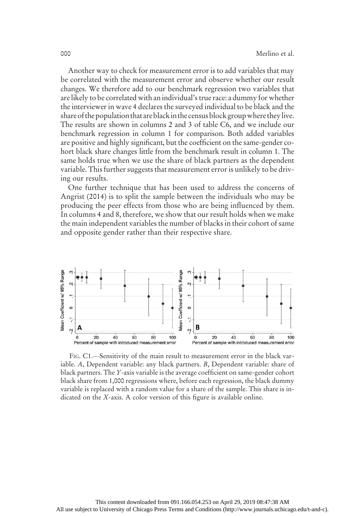Another way to check for measurement error is to add variables that may be correlated with the measurement error and observe whether our result changes. We therefore add to our benchmark regression two variables that are likely to be correlated with an individual's true race: a dummy for whether the interviewer in wave 4 declares the surveyed individual to be black and the share of the population that are black in the census block group where they live. The results are shown in columns 2 and 3 of table C6, and we include our benchmark regression in column 1 for comparison. Both added variables are positive and highly significant, but the coefficient on the same-gender cohort black share changes little from the benchmark result in column 1. The same holds true when we use the share of black partners as the dependent variable. This further suggests that measurement error is unlikely to be driving our results.

One further technique that has been used to address the concerns of Angrist (2014) is to split the sample between the individuals who may be producing the peer effects from those who are being influenced by them. In columns 4 and 8, therefore, we show that our result holds when we make the main independent variables the number of blacks in their cohort of same and opposite gender rather than their respective share.



FIG. C1.—Sensitivity of the main result to measurement error in the black variable. A, Dependent variable: any black partners. B, Dependent variable: share of black partners. The Y-axis variable is the average coefficient on same-gender cohort black share from 1,000 regressions where, before each regression, the black dummy variable is replaced with a random value for a share of the sample. This share is indicated on the X-axis. A color version of this figure is available online.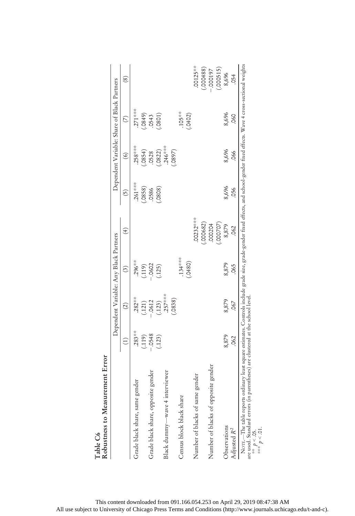|                                     |               |               | Dependent Variable: Any Black Partners |                   |                 |                | Dependent Variable: Share of Black Partners |                   |
|-------------------------------------|---------------|---------------|----------------------------------------|-------------------|-----------------|----------------|---------------------------------------------|-------------------|
|                                     | $\widehat{E}$ | $\widehat{2}$ | $\binom{3}{2}$                         | $\left( 4\right)$ | $\widetilde{5}$ | $\hat{\Theta}$ | $\circ$                                     | $\left( 8\right)$ |
| gender<br>Grade black share, same   | $.283**$      | $.282***$     | $.296***$                              |                   | $261***$        | $258***$       | $271***$                                    |                   |
|                                     | (119)         | (.121)        | (119)                                  |                   | (.0858)         | (.854)         |                                             |                   |
| Grade black share, opposite gender  | .0548         | $-.0612$      | $-0602$                                |                   | .0586           | .0528          | $(0.849)$<br>$(0.849)$                      |                   |
|                                     | (123)         | (.123)        | (.125)                                 |                   | .0808)          | (.0822)        | (10801)                                     |                   |
| interviewer<br>Black dummy-wave 4   |               | $.257***$     |                                        |                   |                 | $.246***$      |                                             |                   |
|                                     |               | (.0838)       |                                        |                   |                 | (5680)         |                                             |                   |
| Census block black share            |               |               | $.134***$                              |                   |                 |                | $.105**$                                    |                   |
|                                     |               |               | (.0480)                                |                   |                 |                | (.0402)                                     |                   |
| Number of blacks of same gender     |               |               |                                        | 00232***          |                 |                |                                             | .00125**          |
|                                     |               |               |                                        | .000682           |                 |                |                                             | (.884000)         |
| Number of blacks of opposite gender |               |               |                                        | 000204            |                 |                |                                             | $-000197$         |
|                                     |               |               |                                        | (000707)          |                 |                |                                             | (.000515)         |
| Observations                        | 8,879         | 8,879         | 8,879                                  | 8,879             | 8,696           | 8,696          | 8,696                                       | 8,696             |
| Adjusted R <sup>2</sup>             | 062           | 067           | .065                                   | .062              | 056             | .066           | <b>O60</b>                                  | 054               |

are used. Standard errors (in parentheses) are clustered at the school level. ie useu, otaniua<br>\*\*  $p < .05$ .<br>\*\*\*  $p < .01$ .

\*\*\*  $p < .01$ .

This content downloaded from 091.166.054.253 on April 29, 2019 08:47:38 AM All use subject to University of Chicago Press Terms and Conditions (http://www.journals.uchicago.edu/t-and-c).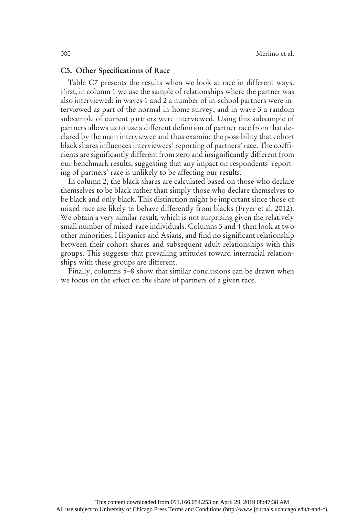### C5. Other Specifications of Race

Table C7 presents the results when we look at race in different ways. First, in column 1 we use the sample of relationships where the partner was also interviewed: in waves 1 and 2 a number of in-school partners were interviewed as part of the normal in-home survey, and in wave 3 a random subsample of current partners were interviewed. Using this subsample of partners allows us to use a different definition of partner race from that declared by the main interviewee and thus examine the possibility that cohort black shares influences interviewees' reporting of partners' race. The coefficients are significantly different from zero and insignificantly different from our benchmark results, suggesting that any impact on respondents' reporting of partners' race is unlikely to be affecting our results.

In column 2, the black shares are calculated based on those who declare themselves to be black rather than simply those who declare themselves to be black and only black. This distinction might be important since those of mixed race are likely to behave differently from blacks (Fryer et al. 2012). We obtain a very similar result, which is not surprising given the relatively small number of mixed-race individuals. Columns 3 and 4 then look at two other minorities, Hispanics and Asians, and find no significant relationship between their cohort shares and subsequent adult relationships with this groups. This suggests that prevailing attitudes toward interracial relationships with these groups are different.

Finally, columns 5–8 show that similar conclusions can be drawn when we focus on the effect on the share of partners of a given race.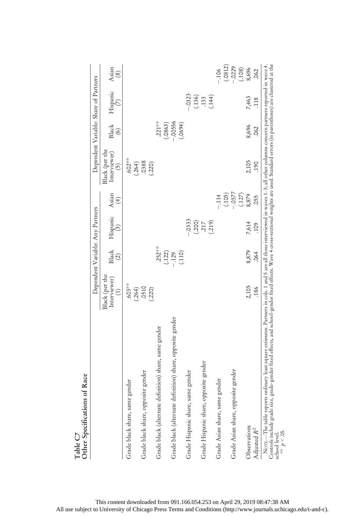| of Race<br>Other Specifications                                                                                                                                                                                                                                                                                                                                                                                 |                                               |                              |                                  |                                                     |                                                   |                                                   |                                        |                            |
|-----------------------------------------------------------------------------------------------------------------------------------------------------------------------------------------------------------------------------------------------------------------------------------------------------------------------------------------------------------------------------------------------------------------|-----------------------------------------------|------------------------------|----------------------------------|-----------------------------------------------------|---------------------------------------------------|---------------------------------------------------|----------------------------------------|----------------------------|
|                                                                                                                                                                                                                                                                                                                                                                                                                 |                                               |                              | Dependent Variable: Any Partners |                                                     |                                                   |                                                   | Dependent Variable: Share of Partners  |                            |
|                                                                                                                                                                                                                                                                                                                                                                                                                 | Black (per the<br>Interviewer)<br>$\bigoplus$ | Black<br>$\widehat{c}$       | Hispanic<br>$\binom{3}{2}$       | Asian<br>$\left( 4\right)$                          | Black (per the<br>Interviewer)<br>$\widetilde{5}$ | <b>Black</b><br>$\begin{pmatrix} 6 \end{pmatrix}$ | Hispanic<br>$\widehat{\triangleright}$ | Asian<br>$\left( 8\right)$ |
| gender<br>Grade black share, same                                                                                                                                                                                                                                                                                                                                                                               | $.603**$                                      |                              |                                  |                                                     | $.602***$<br>(264)                                |                                                   |                                        |                            |
| Grade black share, opposite gender                                                                                                                                                                                                                                                                                                                                                                              | $(.264)$<br>$.0510$<br>(.220)                 |                              |                                  |                                                     | .0388<br>(.220)                                   |                                                   |                                        |                            |
| Grade black (alternate definition) share, same gender                                                                                                                                                                                                                                                                                                                                                           |                                               | $.252***$                    |                                  |                                                     |                                                   | $.221***$                                         |                                        |                            |
| Grade black (alternate definition) share, opposite gender                                                                                                                                                                                                                                                                                                                                                       |                                               | $(122)$<br>$-129$<br>$(110)$ |                                  |                                                     |                                                   | $(.0863)$<br>-.00556<br>(0.0694)                  |                                        |                            |
| Grade Hispanic share, same gender                                                                                                                                                                                                                                                                                                                                                                               |                                               |                              | $-0.3333$                        |                                                     |                                                   |                                                   | $-.0323$                               |                            |
| Grade Hispanic share, opposite gender                                                                                                                                                                                                                                                                                                                                                                           |                                               |                              | $(200)$<br>$217$<br>$(219)$      |                                                     |                                                   |                                                   | $(136)$<br>$(133)$<br>$(144)$          |                            |
| Grade Asian share, same gender                                                                                                                                                                                                                                                                                                                                                                                  |                                               |                              |                                  | $-.114$                                             |                                                   |                                                   |                                        | (.0812)<br>$-106$          |
| Grade Asian share, opposite gender                                                                                                                                                                                                                                                                                                                                                                              |                                               |                              |                                  | $(105)$<br>$-0577$<br>$(127)$<br>$(127)$<br>$8,879$ |                                                   |                                                   |                                        | $-0229$<br>(.108)<br>8,696 |
| Observations<br>Adjusted R <sup>2</sup>                                                                                                                                                                                                                                                                                                                                                                         | 2,105<br>.186                                 | 8,879<br>.064                | 7,614<br>109                     | .055                                                | 2,105<br>190                                      | 8,696<br>.062                                     | 7,463<br>118                           | .062                       |
| Controls include grade size, grade-gender fixed effects, and school-gender fixed effects. Wave 4 cross-sectional weights are used. Standard errors (in parentheses) are clustered at the<br>NOTE—The table reports ordinary least square estimates. Partners in cols. 1 and 5 are all those interviewed in waves 1–3; all other columns concern partners reported in wave 4.<br>** $p < .05$ .<br>school level. |                                               |                              |                                  |                                                     |                                                   |                                                   |                                        |                            |

Table C7

This content downloaded from 091.166.054.253 on April 29, 2019 08:47:38 AM All use subject to University of Chicago Press Terms and Conditions (http://www.journals.uchicago.edu/t-and-c).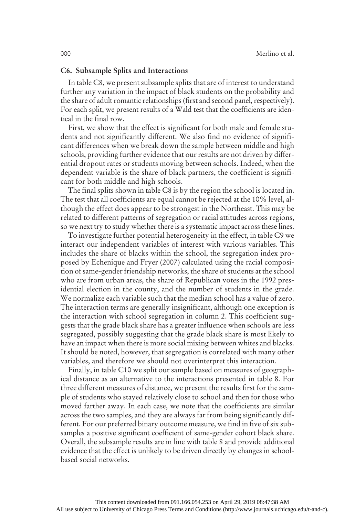### C6. Subsample Splits and Interactions

In table C8, we present subsample splits that are of interest to understand further any variation in the impact of black students on the probability and the share of adult romantic relationships (first and second panel, respectively). For each split, we present results of a Wald test that the coefficients are identical in the final row.

First, we show that the effect is significant for both male and female students and not significantly different. We also find no evidence of significant differences when we break down the sample between middle and high schools, providing further evidence that our results are not driven by differential dropout rates or students moving between schools. Indeed, when the dependent variable is the share of black partners, the coefficient is significant for both middle and high schools.

The final splits shown in table C8 is by the region the school is located in. The test that all coefficients are equal cannot be rejected at the 10% level, although the effect does appear to be strongest in the Northeast. This may be related to different patterns of segregation or racial attitudes across regions, so we next try to study whether there is a systematic impact across these lines.

To investigate further potential heterogeneity in the effect, in table C9 we interact our independent variables of interest with various variables. This includes the share of blacks within the school, the segregation index proposed by Echenique and Fryer (2007) calculated using the racial composition of same-gender friendship networks, the share of students at the school who are from urban areas, the share of Republican votes in the 1992 presidential election in the county, and the number of students in the grade. We normalize each variable such that the median school has a value of zero. The interaction terms are generally insignificant, although one exception is the interaction with school segregation in column 2. This coefficient suggests that the grade black share has a greater influence when schools are less segregated, possibly suggesting that the grade black share is most likely to have an impact when there is more social mixing between whites and blacks. It should be noted, however, that segregation is correlated with many other variables, and therefore we should not overinterpret this interaction.

Finally, in table C10 we split our sample based on measures of geographical distance as an alternative to the interactions presented in table 8. For three different measures of distance, we present the results first for the sample of students who stayed relatively close to school and then for those who moved farther away. In each case, we note that the coefficients are similar across the two samples, and they are always far from being significantly different. For our preferred binary outcome measure, we find in five of six subsamples a positive significant coefficient of same-gender cohort black share. Overall, the subsample results are in line with table 8 and provide additional evidence that the effect is unlikely to be driven directly by changes in schoolbased social networks.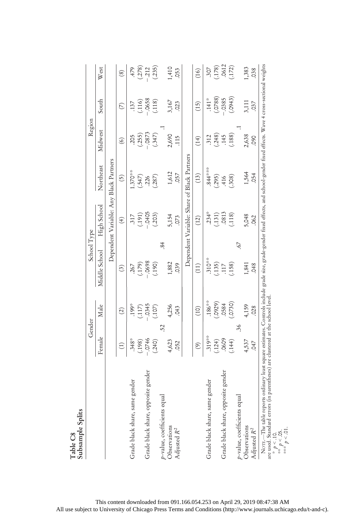| .115<br>(14)<br>$\circledcirc$<br>Dependent Variable: Share of Black Partners<br>Dependent Variable: Any Black Partners<br>Northeast<br>$844***$<br>1.370**<br>1,612<br>.057<br>(13)<br>(295)<br>(308)<br>(.547)<br>$\widetilde{\Theta}$<br>(.287)<br>.226<br>High School<br>$-0405$<br>$.234*$<br>.0813<br>(.203)<br>(.131)<br>(118)<br>(191)<br>5,154<br>.317<br>073<br>(12)<br>$\left( 4\right)$<br>$\overline{84}$<br>67<br>Middle School<br>$.310***$<br>$(179)$<br>-.0698<br>1,882<br>(.135)<br>(190)<br>(.158)<br>.039<br>(11)<br>$\cdot$ 117<br>.267<br>$\mathcal{L}$<br>$.186***$<br>(.0929)<br>(.0730)<br>.0584<br>$(-117)$<br>-0345<br>.199*<br>Male<br>4,256<br>(107)<br>C <sub>H</sub> O<br>(10)<br>$\widehat{c}$<br>52<br>36<br>.319**<br>Female<br>.0609<br>$.348*$<br>$-0746$<br>(240)<br>4,623<br>(.124)<br>(198)<br>(144)<br>.052<br>$\circledcirc$<br>$\begin{pmatrix} 1 \end{pmatrix}$<br>Grade black share, opposite gender<br>Grade black share, opposite gender<br>gender<br>gender<br>p-value, coefficients equal<br>$p$ -value, coefficients equal<br>Grade black share, same<br>Grade black share, same<br>Observations<br>Adjusted R <sup>2</sup> | School Type<br>Gender |       | Region   |               |                                                              |
|------------------------------------------------------------------------------------------------------------------------------------------------------------------------------------------------------------------------------------------------------------------------------------------------------------------------------------------------------------------------------------------------------------------------------------------------------------------------------------------------------------------------------------------------------------------------------------------------------------------------------------------------------------------------------------------------------------------------------------------------------------------------------------------------------------------------------------------------------------------------------------------------------------------------------------------------------------------------------------------------------------------------------------------------------------------------------------------------------------------------------------------------------------------------------|-----------------------|-------|----------|---------------|--------------------------------------------------------------|
|                                                                                                                                                                                                                                                                                                                                                                                                                                                                                                                                                                                                                                                                                                                                                                                                                                                                                                                                                                                                                                                                                                                                                                              |                       |       | Midwest  | South         | West                                                         |
|                                                                                                                                                                                                                                                                                                                                                                                                                                                                                                                                                                                                                                                                                                                                                                                                                                                                                                                                                                                                                                                                                                                                                                              |                       |       |          |               |                                                              |
|                                                                                                                                                                                                                                                                                                                                                                                                                                                                                                                                                                                                                                                                                                                                                                                                                                                                                                                                                                                                                                                                                                                                                                              |                       |       |          | $\mathcal{L}$ | (8)                                                          |
|                                                                                                                                                                                                                                                                                                                                                                                                                                                                                                                                                                                                                                                                                                                                                                                                                                                                                                                                                                                                                                                                                                                                                                              |                       |       | .205     | .137          | $479$<br>$(-278)$<br>$(-212)$<br>$(-235)$                    |
|                                                                                                                                                                                                                                                                                                                                                                                                                                                                                                                                                                                                                                                                                                                                                                                                                                                                                                                                                                                                                                                                                                                                                                              |                       |       | (.255)   | (116)         |                                                              |
|                                                                                                                                                                                                                                                                                                                                                                                                                                                                                                                                                                                                                                                                                                                                                                                                                                                                                                                                                                                                                                                                                                                                                                              |                       |       | $-.0873$ | $-0658$       |                                                              |
|                                                                                                                                                                                                                                                                                                                                                                                                                                                                                                                                                                                                                                                                                                                                                                                                                                                                                                                                                                                                                                                                                                                                                                              |                       |       | (.347)   | (.118)        |                                                              |
|                                                                                                                                                                                                                                                                                                                                                                                                                                                                                                                                                                                                                                                                                                                                                                                                                                                                                                                                                                                                                                                                                                                                                                              |                       |       |          |               |                                                              |
|                                                                                                                                                                                                                                                                                                                                                                                                                                                                                                                                                                                                                                                                                                                                                                                                                                                                                                                                                                                                                                                                                                                                                                              |                       |       | 2,690    | 3,167         | 1,410                                                        |
|                                                                                                                                                                                                                                                                                                                                                                                                                                                                                                                                                                                                                                                                                                                                                                                                                                                                                                                                                                                                                                                                                                                                                                              |                       |       |          | 023           | .053                                                         |
|                                                                                                                                                                                                                                                                                                                                                                                                                                                                                                                                                                                                                                                                                                                                                                                                                                                                                                                                                                                                                                                                                                                                                                              |                       |       |          |               |                                                              |
|                                                                                                                                                                                                                                                                                                                                                                                                                                                                                                                                                                                                                                                                                                                                                                                                                                                                                                                                                                                                                                                                                                                                                                              |                       |       |          | (15)          | (16)                                                         |
|                                                                                                                                                                                                                                                                                                                                                                                                                                                                                                                                                                                                                                                                                                                                                                                                                                                                                                                                                                                                                                                                                                                                                                              |                       |       | 312      | $.141*$       |                                                              |
|                                                                                                                                                                                                                                                                                                                                                                                                                                                                                                                                                                                                                                                                                                                                                                                                                                                                                                                                                                                                                                                                                                                                                                              |                       |       | (.248)   | (.0788)       | $\begin{array}{c} 307 \\ (178) \\ 0612 \\ (172) \end{array}$ |
|                                                                                                                                                                                                                                                                                                                                                                                                                                                                                                                                                                                                                                                                                                                                                                                                                                                                                                                                                                                                                                                                                                                                                                              |                       |       | .145     | $-0385$       |                                                              |
|                                                                                                                                                                                                                                                                                                                                                                                                                                                                                                                                                                                                                                                                                                                                                                                                                                                                                                                                                                                                                                                                                                                                                                              |                       |       | (.188)   | (.0943)       |                                                              |
|                                                                                                                                                                                                                                                                                                                                                                                                                                                                                                                                                                                                                                                                                                                                                                                                                                                                                                                                                                                                                                                                                                                                                                              |                       |       |          |               |                                                              |
| 1,564<br>4,537<br>Observations                                                                                                                                                                                                                                                                                                                                                                                                                                                                                                                                                                                                                                                                                                                                                                                                                                                                                                                                                                                                                                                                                                                                               | 1,841<br>4,159        | 5,048 | 2,638    | 3,111         | 1,383                                                        |
| <b>C60</b><br><b>.054</b><br>.062<br>.048<br>.028<br>047<br>Adjusted $R^2$                                                                                                                                                                                                                                                                                                                                                                                                                                                                                                                                                                                                                                                                                                                                                                                                                                                                                                                                                                                                                                                                                                   |                       |       |          | .037          | .038                                                         |

This content downloaded from 091.166.054.253 on April 29, 2019 08:47:38 AM All use subject to University of Chicago Press Terms and Conditions (http://www.journals.uchicago.edu/t-and-c).

\*\*\*  $p < .01$ .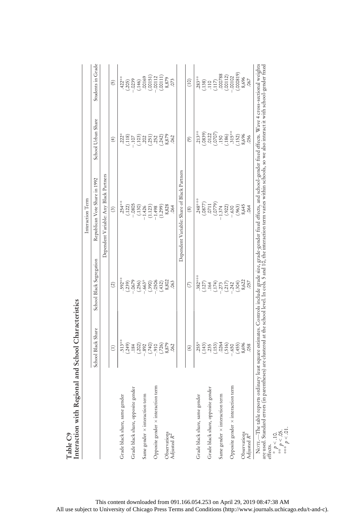|                                                                      |                                                                          |                                                  | Interaction Term                                                                                                                                                                                                                  |                                                                          |                                                                                                                                                                                                                     |
|----------------------------------------------------------------------|--------------------------------------------------------------------------|--------------------------------------------------|-----------------------------------------------------------------------------------------------------------------------------------------------------------------------------------------------------------------------------------|--------------------------------------------------------------------------|---------------------------------------------------------------------------------------------------------------------------------------------------------------------------------------------------------------------|
|                                                                      | School Black Share                                                       | School Black Segregation                         | Republican Vote Share in 1992                                                                                                                                                                                                     | School Urban Share                                                       | Students in Grade                                                                                                                                                                                                   |
|                                                                      |                                                                          |                                                  | Dependent Variable: Any Black Partners                                                                                                                                                                                            |                                                                          |                                                                                                                                                                                                                     |
|                                                                      | $\widehat{E}$                                                            | $\widehat{c}$                                    | $\widehat{c}$                                                                                                                                                                                                                     | $\widehat{f}$                                                            | <u>ව</u>                                                                                                                                                                                                            |
| Grade black share, same gender                                       |                                                                          |                                                  | $.254**$                                                                                                                                                                                                                          |                                                                          |                                                                                                                                                                                                                     |
|                                                                      |                                                                          |                                                  | $(.122)$<br>-.0805                                                                                                                                                                                                                | $222*$<br>(.118)<br>-.107                                                |                                                                                                                                                                                                                     |
| Grade black share, opposite gender                                   | $513*$<br>$(249)$<br>$(249)$<br>$(302)$<br>$(302)$<br>$(500)$<br>$(500)$ | $.592**$<br>$(.239)$<br>$-.0679$<br>$(.256)$     |                                                                                                                                                                                                                                   |                                                                          | $.422**$<br>$(.205)$<br>$(.305)$<br>$(.146)$<br>$.00151$<br>$.00151$<br>$.00151$                                                                                                                                    |
|                                                                      |                                                                          |                                                  | $(130)$<br>-1.426                                                                                                                                                                                                                 |                                                                          |                                                                                                                                                                                                                     |
| Same gender x interaction term                                       |                                                                          | $-663*$                                          |                                                                                                                                                                                                                                   |                                                                          |                                                                                                                                                                                                                     |
|                                                                      |                                                                          | $(-390)$<br>-0506                                | $(1.123)$<br>-1.498                                                                                                                                                                                                               | $\begin{array}{c} (103) \\ (202) \\ (303) \\ (103) \\ (204) \end{array}$ |                                                                                                                                                                                                                     |
| Opposite gender × interaction term                                   |                                                                          |                                                  |                                                                                                                                                                                                                                   |                                                                          |                                                                                                                                                                                                                     |
|                                                                      | $(726)$<br>8,879                                                         | $(.432)$<br>8,802                                | (1.299)                                                                                                                                                                                                                           | (.242)                                                                   | $(0.0111)$<br>$8,879$                                                                                                                                                                                               |
| Observations<br>Adjusted $R^2$                                       |                                                                          |                                                  | 8,828                                                                                                                                                                                                                             | 8,879                                                                    |                                                                                                                                                                                                                     |
|                                                                      | .062                                                                     | .063                                             |                                                                                                                                                                                                                                   | 062                                                                      | .073                                                                                                                                                                                                                |
|                                                                      |                                                                          |                                                  | Dependent Variable: Share of Black Partners                                                                                                                                                                                       |                                                                          |                                                                                                                                                                                                                     |
|                                                                      | $\circledcirc$                                                           | $\circ$                                          | $\circledS$                                                                                                                                                                                                                       | $\widehat{\mathcal{E}}$                                                  | (10)                                                                                                                                                                                                                |
| Grade black share, same gender                                       | $255*$                                                                   |                                                  | $248***$ $(0877)$ $(0711)$ $(0711)$ $(0779)$ $(0779)$                                                                                                                                                                             | $.213***$                                                                |                                                                                                                                                                                                                     |
|                                                                      |                                                                          |                                                  |                                                                                                                                                                                                                                   |                                                                          |                                                                                                                                                                                                                     |
| Grade black share, opposite gender                                   |                                                                          |                                                  |                                                                                                                                                                                                                                   |                                                                          |                                                                                                                                                                                                                     |
|                                                                      | $(143)$<br>$(143)$<br>$(153)$<br>$(153)$<br>$(150)$<br>$(150)$           | $382***$<br>(.127)<br>(.127)<br>(.174)<br>(.174) |                                                                                                                                                                                                                                   | $(339)$<br>$(312)$<br>$(370)$<br>$(50)$                                  | $\begin{array}{l} \textbf{283}^{\ast\ast} \\ \textbf{283} \\ \textbf{138} \\ \textbf{110} \\ \textbf{117} \\ \textbf{200788} \\ \textbf{00112} \\ \textbf{00112} \\ \textbf{-00102} \\ \textbf{-00102} \end{array}$ |
| Same gender $\times$ interaction term                                |                                                                          |                                                  |                                                                                                                                                                                                                                   |                                                                          |                                                                                                                                                                                                                     |
|                                                                      |                                                                          | (.217)                                           | $(.922)$<br>$-.630$                                                                                                                                                                                                               | (.186)                                                                   |                                                                                                                                                                                                                     |
| Opposite gender x interaction term                                   |                                                                          | $-0.242$                                         |                                                                                                                                                                                                                                   | $.315***$                                                                |                                                                                                                                                                                                                     |
|                                                                      | $(455)$<br>8,696                                                         | $(.304)$<br>8,622                                | $(963)$<br>8,645                                                                                                                                                                                                                  | $(.152)$<br>8,696                                                        | $(.000819)$<br>$8,696$                                                                                                                                                                                              |
|                                                                      |                                                                          |                                                  |                                                                                                                                                                                                                                   |                                                                          |                                                                                                                                                                                                                     |
| Observations<br>Adjusted R <sup>2</sup>                              | .058                                                                     | .057                                             | .064                                                                                                                                                                                                                              | .056                                                                     | 067                                                                                                                                                                                                                 |
| NOTE.-The table reports<br>are used. Standard errors (in<br>effects. |                                                                          |                                                  | ordinary least square estimates. Controls include grade size, grade-gender fixed effects, and school-gender fixed effects. Wave 4 cross-sectional weights<br>parentheses) are clustered at the school level. In cols. 5 and 10, t |                                                                          |                                                                                                                                                                                                                     |
| * $p < 10$ .<br>** $p < 0.5$ .                                       |                                                                          |                                                  |                                                                                                                                                                                                                                   |                                                                          |                                                                                                                                                                                                                     |

Table C9<br>Interaction with Regional and School Characteristics Interaction with Regional and School Characteristics

This content downloaded from 091.166.054.253 on April 29, 2019 08:47:38 AM All use subject to University of Chicago Press Terms and Conditions (http://www.journals.uchicago.edu/t-and-c).

\*\*\*  $p < 01$ .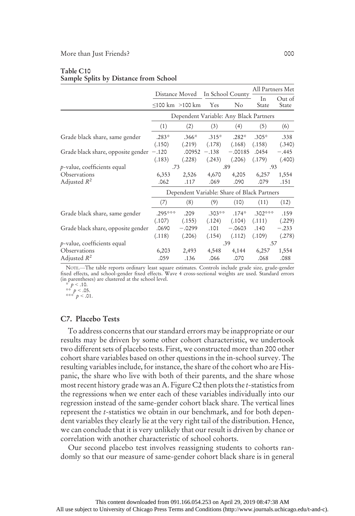#### Table C10 Sample Splits by Distance from School

|                                    |         | Distance Moved                              |          | In School County | All Partners Met |                 |
|------------------------------------|---------|---------------------------------------------|----------|------------------|------------------|-----------------|
|                                    |         | $\leq$ 100 km $>$ 100 km                    | Yes      | $\rm No$         | In<br>State      | Out of<br>State |
|                                    |         | Dependent Variable: Any Black Partners      |          |                  |                  |                 |
|                                    | (1)     | (2)                                         | (3)      | (4)              | (5)              | (6)             |
| Grade black share, same gender     | $.283*$ | $.366*$                                     | $.315*$  | $.282*$          | $.305*$          | .338            |
|                                    | (.150)  | (.219)                                      | (.178)   | (.168)           | (.158)           | (.340)          |
| Grade black share, opposite gender | $-.120$ | .00952                                      | $-.138$  | $-.00185$        | .0454            | $-.445$         |
|                                    | (.183)  | (.228)                                      | (.243)   | (.206)           | (.179)           | (.400)          |
| $p$ -value, coefficients equal     | .73     |                                             |          | .89              | .93              |                 |
| Observations                       | 6,353   | 2,526                                       | 4,670    | 4,205            | 6,257            | 1,554           |
| Adjusted $R^2$                     | .062    | .117                                        | .069     | .090             | .079             | .151            |
|                                    |         | Dependent Variable: Share of Black Partners |          |                  |                  |                 |
|                                    | (7)     | (8)                                         | (9)      | (10)             | (11)             | (12)            |
| Grade black share, same gender     | .295*** | .209                                        | $.303**$ | $.174*$          | $.302***$        | .159            |
|                                    | (.107)  | (.155)                                      | (.124)   | (.104)           | (.111)           | (.229)          |
| Grade black share, opposite gender | .0690   | $-.0299$                                    | .101     | $-.0603$         | .140             | $-.233$         |
|                                    | (.118)  | (.206)                                      | (.154)   | (.112)           | (.109)           | (.278)          |
| $p$ -value, coefficients equal     |         |                                             |          | .39              | .57              |                 |
| Observations                       | 6,203   | 2,493                                       | 4,548    | 4,144            | 6,257            | 1,554           |
| Adjusted $R^2$                     | .059    | .136                                        | .066     | .070             | .068             | .088            |

NOTE.—The table reports ordinary least square estimates. Controls include grade size, grade-gender fixed effects, and school-gender fixed effects. Wave 4 cross-sectional weights are used. Standard errors (in parentheses) are clustered at the school level.

# C7. Placebo Tests

To address concerns that our standard errors may be inappropriate or our results may be driven by some other cohort characteristic, we undertook two different sets of placebo tests. First, we constructed more than 200 other cohort share variables based on other questions in the in-school survey. The resulting variables include, for instance, the share of the cohort who are Hispanic, the share who live with both of their parents, and the share whose most recent history grade was an A. Figure C2 then plots the t-statistics from the regressions when we enter each of these variables individually into our regression instead of the same-gender cohort black share. The vertical lines represent the t-statistics we obtain in our benchmark, and for both dependent variables they clearly lie at the very right tail of the distribution. Hence, we can conclude that it is very unlikely that our result is driven by chance or correlation with another characteristic of school cohorts.

Our second placebo test involves reassigning students to cohorts randomly so that our measure of same-gender cohort black share is in general

<sup>\*</sup>  $p < .10$ .<br>\*\*  $p < .05$ .<br>\*\*\*  $p < .01$ .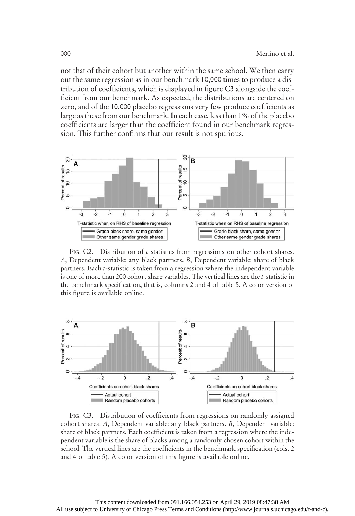not that of their cohort but another within the same school. We then carry out the same regression as in our benchmark 10,000 times to produce a distribution of coefficients, which is displayed in figure C3 alongside the coefficient from our benchmark. As expected, the distributions are centered on zero, and of the 10,000 placebo regressions very few produce coefficients as large as these from our benchmark. In each case, less than 1% of the placebo coefficients are larger than the coefficient found in our benchmark regression. This further confirms that our result is not spurious.



FIG. C2.—Distribution of *t*-statistics from regressions on other cohort shares. A, Dependent variable: any black partners. B, Dependent variable: share of black partners. Each t-statistic is taken from a regression where the independent variable is one of more than 200 cohort share variables. The vertical lines are the t-statistic in the benchmark specification, that is, columns 2 and 4 of table 5. A color version of this figure is available online.



FIG. C3.—Distribution of coefficients from regressions on randomly assigned cohort shares. A, Dependent variable: any black partners. B, Dependent variable: share of black partners. Each coefficient is taken from a regression where the independent variable is the share of blacks among a randomly chosen cohort within the school. The vertical lines are the coefficients in the benchmark specification (cols. 2 and 4 of table 5). A color version of this figure is available online.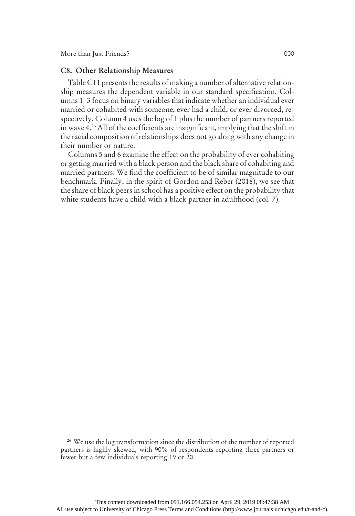#### C8. Other Relationship Measures

Table C11 presents the results of making a number of alternative relationship measures the dependent variable in our standard specification. Columns 1–3 focus on binary variables that indicate whether an individual ever married or cohabited with someone, ever had a child, or ever divorced, respectively. Column 4 uses the log of 1 plus the number of partners reported in wave 4.26 All of the coefficients are insignificant, implying that the shift in the racial composition of relationships does not go along with any change in their number or nature.

Columns 5 and 6 examine the effect on the probability of ever cohabiting or getting married with a black person and the black share of cohabiting and married partners. We find the coefficient to be of similar magnitude to our benchmark. Finally, in the spirit of Gordon and Reber (2018), we see that the share of black peers in school has a positive effect on the probability that white students have a child with a black partner in adulthood (col. 7).

<sup>26</sup> We use the log transformation since the distribution of the number of reported partners is highly skewed, with 90% of respondents reporting three partners or fewer but a few individuals reporting 19 or 20.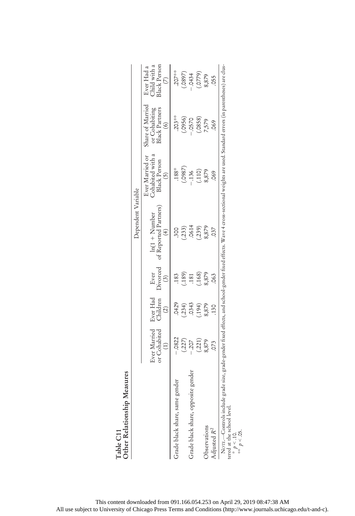| Other Relationship Measures                                                                      |                              |                                       |                                    | Dependent Variable                                                                                                                                           |                                                                               |                                                                       |                                            |
|--------------------------------------------------------------------------------------------------|------------------------------|---------------------------------------|------------------------------------|--------------------------------------------------------------------------------------------------------------------------------------------------------------|-------------------------------------------------------------------------------|-----------------------------------------------------------------------|--------------------------------------------|
|                                                                                                  | Ever Married<br>or Cohabited | Ever Had<br>Children<br>$\widehat{c}$ | Ever<br>Divorced<br>$\binom{3}{2}$ | of Reported Partners)<br>$ln(1 + Number$<br>$\left(4\right)$                                                                                                 | Cohabited with a<br>Ever Married or<br><b>Black Person</b><br>$\widetilde{5}$ | Share of Married<br><b>Black Partners</b><br>or Cohabiting<br>$\odot$ | Child with a<br>3lack Person<br>Ever Had a |
| gender<br>Grade black share, same                                                                | $-.0822$                     | .0429                                 | 183                                | <b>300</b>                                                                                                                                                   | $.188*$                                                                       | $.203**$                                                              | $.207***$                                  |
|                                                                                                  | (.227)                       | $(.234)$<br>$.0343$                   | (189)                              | (233)                                                                                                                                                        | (580)                                                                         | $(0.056)$<br>- 0570                                                   |                                            |
| Grade black share, opposite gender                                                               |                              |                                       | .181                               | .0614                                                                                                                                                        | .136                                                                          |                                                                       | (580, 0)                                   |
|                                                                                                  | (.221)                       | (194)                                 | (168)                              | (239)                                                                                                                                                        | (110)                                                                         | (.0858)                                                               | $(0779)$<br>$8,879$                        |
| Observations                                                                                     | 8,879                        | 8,879                                 | 8,879                              | 8,879                                                                                                                                                        | 8,879                                                                         | 7,579                                                                 |                                            |
| Adjusted $R^2$                                                                                   | CO.                          | .130                                  | .063                               | 037                                                                                                                                                          | 069                                                                           | .069                                                                  | 055                                        |
| NOTE.-Controls include                                                                           |                              |                                       |                                    | grade size, grade-gender fixed effects, and school-gender fixed effects. Wave 4 cross-sectional weights are used. Standard errors (in parentheses) are clus- |                                                                               |                                                                       |                                            |
| tered at the school level.<br>$\begin{array}{l} * \ * \ p < .10. \end{array}$<br>$** \ p < .05.$ |                              |                                       |                                    |                                                                                                                                                              |                                                                               |                                                                       |                                            |
|                                                                                                  |                              |                                       |                                    |                                                                                                                                                              |                                                                               |                                                                       |                                            |

 $\mathbf{h}$  is  $\mathbf{M}$ .  $Table C11  
Orbac Bolarical$ Table C11

This content downloaded from 091.166.054.253 on April 29, 2019 08:47:38 AM All use subject to University of Chicago Press Terms and Conditions (http://www.journals.uchicago.edu/t-and-c).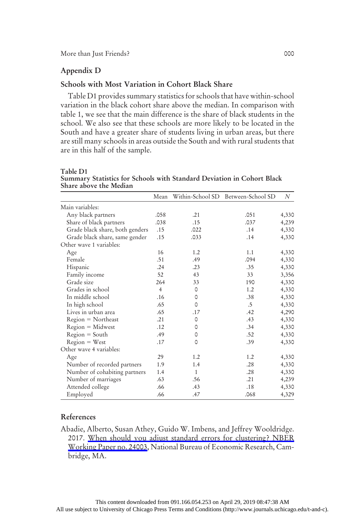### Appendix D

# Schools with Most Variation in Cohort Black Share

Table D1 provides summary statistics for schools that have within-school variation in the black cohort share above the median. In comparison with table 1, we see that the main difference is the share of black students in the school. We also see that these schools are more likely to be located in the South and have a greater share of students living in urban areas, but there are still many schools in areas outside the South and with rural students that are in this half of the sample.

| Share above the inculant        |                |              |                                    |       |
|---------------------------------|----------------|--------------|------------------------------------|-------|
|                                 | Mean           |              | Within-School SD Between-School SD | N     |
| Main variables:                 |                |              |                                    |       |
| Any black partners              | .058           | .21          | .051                               | 4,330 |
| Share of black partners         | .038           | .15          | .037                               | 4,239 |
| Grade black share, both genders | .15            | .022         | .14                                | 4,330 |
| Grade black share, same gender  | .15            | .033         | .14                                | 4,330 |
| Other wave 1 variables:         |                |              |                                    |       |
| Age                             | 16             | 1.2          | 1.1                                | 4,330 |
| Female                          | .51            | .49          | .094                               | 4,330 |
| Hispanic                        | .24            | .23          | .35                                | 4,330 |
| Family income                   | 52             | 43           | 33                                 | 3,356 |
| Grade size                      | 264            | 33           | 190                                | 4,330 |
| Grades in school                | $\overline{4}$ | 0            | 1.2                                | 4,330 |
| In middle school                | .16            | 0            | .38                                | 4,330 |
| In high school                  | .65            | 0            | .5                                 | 4,330 |
| Lives in urban area             | .65            | .17          | .42                                | 4,290 |
| $Region = Northern$             | .21            | 0            | .43                                | 4,330 |
| $Region = Midwest$              | .12            | 0            | .34                                | 4,330 |
| $Region = South$                | .49            | 0            | .52                                | 4,330 |
| $Region = West$                 | .17            | 0            | .39                                | 4,330 |
| Other wave 4 variables:         |                |              |                                    |       |
| Age                             | 29             | 1.2          | 1.2                                | 4,330 |
| Number of recorded partners     | 1.9            | 1.4          | .28                                | 4,330 |
| Number of cohabiting partners   | 1.4            | $\mathbf{1}$ | .28                                | 4,330 |
| Number of marriages             | .63            | .56          | .21                                | 4,239 |
| Attended college                | .66            | .43          | .18                                | 4,330 |
| Employed                        | .66            | .47          | .068                               | 4,329 |

Table D1 Summary Statistics for Schools with Standard Deviation in Cohort Black Share above the Median

# References

Abadie, Alberto, Susan Athey, Guido W. Imbens, and Jeffrey Wooldridge. 2017. [When should you adjust standard errors for clustering? NBER](https://www.journals.uchicago.edu/action/showLinks?doi=10.1086%2F702626&crossref=10.3386%2Fw24003&citationId=p_29) [Working Paper no. 24003,](https://www.journals.uchicago.edu/action/showLinks?doi=10.1086%2F702626&crossref=10.3386%2Fw24003&citationId=p_29) National Bureau of Economic Research, Cambridge, MA.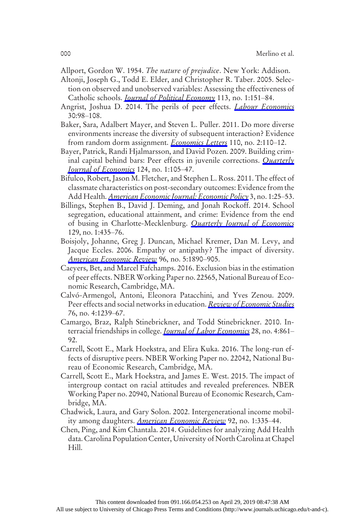- Allport, Gordon W. 1954. The nature of prejudice. New York: Addison.
- Altonji, Joseph G., Todd E. Elder, and Christopher R. Taber. 2005. Selection on observed and unobserved variables: Assessing the effectiveness of Catholic schools. *[Journal of Political Economy](https://www.journals.uchicago.edu/action/showLinks?doi=10.1086%2F702626&system=10.1086%2F426036&citationId=p_31)* 113, no. 1:151–84.
- Angrist, Joshua D. 2014. The perils of peer effects. *[Labour Economics](https://www.journals.uchicago.edu/action/showLinks?doi=10.1086%2F702626&crossref=10.1016%2Fj.labeco.2014.05.008&citationId=p_32)* 30:98–108.
- Baker, Sara, Adalbert Mayer, and Steven L. Puller. 2011. Do more diverse environments increase the diversity of subsequent interaction? Evidence from random dorm assignment. *[Economics Letters](https://www.journals.uchicago.edu/action/showLinks?doi=10.1086%2F702626&crossref=10.1016%2Fj.econlet.2010.09.010&citationId=p_33)* 110, no. 2:110–12.
- Bayer, Patrick, Randi Hjalmarsson, and David Pozen. 2009. Building criminal capital behind bars: Peer effects in juvenile corrections. Ouarterly [Journal of Economics](https://www.journals.uchicago.edu/action/showLinks?doi=10.1086%2F702626&crossref=10.1162%2Fqjec.2009.124.1.105&citationId=p_34) 124, no. 1:105–47.
- Bifulco, Robert, Jason M. Fletcher, and Stephen L. Ross. 2011. The effect of classmate characteristics on post-secondary outcomes: Evidence from the Add Health. *[American Economic Journal: Economic Policy](https://www.journals.uchicago.edu/action/showLinks?doi=10.1086%2F702626&crossref=10.1257%2Fpol.3.1.25&citationId=p_35)* 3, no. 1:25–53.
- Billings, Stephen B., David J. Deming, and Jonah Rockoff. 2014. School segregation, educational attainment, and crime: Evidence from the end of busing in Charlotte-Mecklenburg. *[Quarterly Journal of Economics](https://www.journals.uchicago.edu/action/showLinks?doi=10.1086%2F702626&crossref=10.1093%2Fqje%2Fqjt026&citationId=p_36)* 129, no. 1:435–76.
- Boisjoly, Johanne, Greg J. Duncan, Michael Kremer, Dan M. Levy, and Jacque Eccles. 2006. Empathy or antipathy? The impact of diversity. [American Economic Review](https://www.journals.uchicago.edu/action/showLinks?doi=10.1086%2F702626&crossref=10.1257%2Faer.96.5.1890&citationId=p_37) 96, no. 5:1890-905.
- Caeyers, Bet, and Marcel Fafchamps. 2016. Exclusion bias in the estimation of peer effects. NBERWorking Paper no. 22565, National Bureau of Economic Research, Cambridge, MA.
- Calvó-Armengol, Antoni, Eleonora Patacchini, and Yves Zenou. 2009. Peer effects and social networks in education. *[Review of Economic Studies](https://www.journals.uchicago.edu/action/showLinks?doi=10.1086%2F702626&crossref=10.1111%2Fj.1467-937X.2009.00550.x&citationId=p_39)* 76, no. 4:1239–67.
- Camargo, Braz, Ralph Stinebrickner, and Todd Stinebrickner. 2010. Interracial friendships in college. *[Journal of Labor Economics](https://www.journals.uchicago.edu/action/showLinks?doi=10.1086%2F702626&system=10.1086%2F653831&citationId=p_40)* 28, no. 4:861– 92.
- Carrell, Scott E., Mark Hoekstra, and Elira Kuka. 2016. The long-run effects of disruptive peers. NBER Working Paper no. 22042, National Bureau of Economic Research, Cambridge, MA.
- Carrell, Scott E., Mark Hoekstra, and James E. West. 2015. The impact of intergroup contact on racial attitudes and revealed preferences. NBER Working Paper no. 20940, National Bureau of Economic Research, Cambridge, MA.
- Chadwick, Laura, and Gary Solon. 2002. Intergenerational income mobil-ity among daughters. [American Economic Review](https://www.journals.uchicago.edu/action/showLinks?doi=10.1086%2F702626&crossref=10.1257%2F000282802760015766&citationId=p_43) 92, no. 1:335-44.
- Chen, Ping, and Kim Chantala. 2014. Guidelines for analyzing Add Health data. Carolina Population Center, University of North Carolina at Chapel Hill.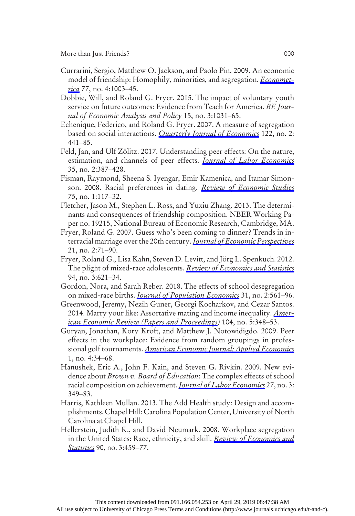More than Just Friends? 000

- Currarini, Sergio, Matthew O. Jackson, and Paolo Pin. 2009. An economic model of friendship: Homophily, minorities, and segregation. *Economet*[rica](https://www.journals.uchicago.edu/action/showLinks?doi=10.1086%2F702626&crossref=10.3982%2FECTA7528&citationId=p_45) 77, no. 4:1003–45.
- Dobbie, Will, and Roland G. Fryer. 2015. The impact of voluntary youth service on future outcomes: Evidence from Teach for America. BE Journal of Economic Analysis and Policy 15, no. 3:1031–65.
- Echenique, Federico, and Roland G. Fryer. 2007. A measure of segregation based on social interactions. *[Quarterly Journal of Economics](https://www.journals.uchicago.edu/action/showLinks?doi=10.1086%2F702626&crossref=10.1162%2Fqjec.122.2.441&citationId=p_47)* 122, no. 2: 441–85.
- Feld, Jan, and Ulf Zölitz. 2017. Understanding peer effects: On the nature, estimation, and channels of peer effects. *[Journal of Labor Economics](https://www.journals.uchicago.edu/action/showLinks?doi=10.1086%2F702626&system=10.1086%2F689472&citationId=p_48)* 35, no. 2:387–428.
- Fisman, Raymond, Sheena S. Iyengar, Emir Kamenica, and Itamar Simon-son. 2008. Racial preferences in dating. [Review of Economic Studies](https://www.journals.uchicago.edu/action/showLinks?doi=10.1086%2F702626&crossref=10.1111%2Fj.1467-937X.2007.00465.x&citationId=p_49) 75, no. 1:117–32.
- Fletcher, Jason M., Stephen L. Ross, and Yuxiu Zhang. 2013. The determinants and consequences of friendship composition. NBER Working Paper no. 19215, National Bureau of Economic Research, Cambridge, MA.
- Fryer, Roland G. 2007. Guess who's been coming to dinner? Trends in in-terracial marriage over the 20th century. [Journal of Economic Perspectives](https://www.journals.uchicago.edu/action/showLinks?doi=10.1086%2F702626&crossref=10.1257%2Fjep.21.2.71&citationId=p_51) 21, no. 2:71–90.
- Fryer, Roland G., Lisa Kahn, Steven D. Levitt, and Jörg L. Spenkuch. 2012. The plight of mixed-race adolescents. *[Review of Economics and Statistics](https://www.journals.uchicago.edu/action/showLinks?doi=10.1086%2F702626&crossref=10.1162%2FREST_a_00252&citationId=p_52)* 94, no. 3:621–34.
- Gordon, Nora, and Sarah Reber. 2018. The effects of school desegregation on mixed-race births. *[Journal of Population Economics](https://www.journals.uchicago.edu/action/showLinks?doi=10.1086%2F702626&crossref=10.1007%2Fs00148-017-0662-z&citationId=p_53)* 31, no. 2:561–96.
- Greenwood, Jeremy, Nezih Guner, Georgi Kocharkov, and Cezar Santos. 2014. Marry your like: Assortative mating and income inequality. *Amer*[ican Economic Review \(Papers and Proceedings](https://www.journals.uchicago.edu/action/showLinks?doi=10.1086%2F702626&crossref=10.1257%2Faer.104.5.348&citationId=p_55)) 104, no. 5:348–53.
- Guryan, Jonathan, Kory Kroft, and Matthew J. Notowidigdo. 2009. Peer effects in the workplace: Evidence from random groupings in profes-sional golf tournaments. [American Economic Journal: Applied Economics](https://www.journals.uchicago.edu/action/showLinks?doi=10.1086%2F702626&crossref=10.1257%2Fapp.1.4.34&citationId=p_56) 1, no. 4:34–68.
- Hanushek, Eric A., John F. Kain, and Steven G. Rivkin. 2009. New evidence about *Brown v. Board of Education*: The complex effects of school racial composition on achievement. *[Journal of Labor Economics](https://www.journals.uchicago.edu/action/showLinks?doi=10.1086%2F702626&system=10.1086%2F600386&citationId=p_57)* 27, no. 3: 349–83.
- Harris, Kathleen Mullan. 2013. The Add Health study: Design and accomplishments. Chapel Hill: Carolina Population Center, University of North Carolina at Chapel Hill.
- Hellerstein, Judith K., and David Neumark. 2008. Workplace segregation in the United States: Race, ethnicity, and skill. *[Review of Economics and](https://www.journals.uchicago.edu/action/showLinks?doi=10.1086%2F702626&crossref=10.1162%2Frest.90.3.459&citationId=p_59)* [Statistics](https://www.journals.uchicago.edu/action/showLinks?doi=10.1086%2F702626&crossref=10.1162%2Frest.90.3.459&citationId=p_59) 90, no. 3:459-77.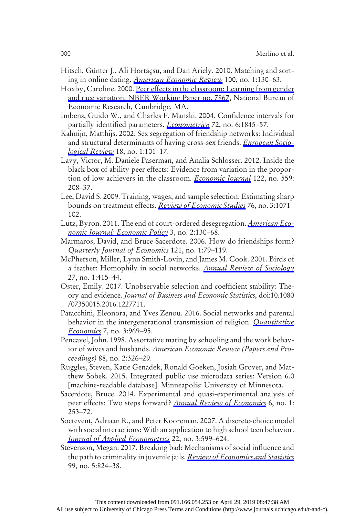- Hitsch, Günter J., Ali Hortaçsu, and Dan Ariely. 2010. Matching and sorting in online dating. [American Economic Review](https://www.journals.uchicago.edu/action/showLinks?doi=10.1086%2F702626&crossref=10.1257%2Faer.100.1.130&citationId=p_60) 100, no. 1:130–63.
- Hoxby, Caroline. 2000. [Peer effects in the classroom: Learning from gender](https://www.journals.uchicago.edu/action/showLinks?doi=10.1086%2F702626&crossref=10.3386%2Fw7867&citationId=p_61) [and race variation. NBER Working Paper no. 7867](https://www.journals.uchicago.edu/action/showLinks?doi=10.1086%2F702626&crossref=10.3386%2Fw7867&citationId=p_61), National Bureau of Economic Research, Cambridge, MA.
- Imbens, Guido W., and Charles F. Manski. 2004. Confidence intervals for partially identified parameters. *[Econometrica](https://www.journals.uchicago.edu/action/showLinks?doi=10.1086%2F702626&crossref=10.1111%2Fj.1468-0262.2004.00555.x&citationId=p_62)* 72, no. 6:1845–57.
- Kalmijn, Matthijs. 2002. Sex segregation of friendship networks: Individual and structural determinants of having cross-sex friends. *[European Socio](https://www.journals.uchicago.edu/action/showLinks?doi=10.1086%2F702626&crossref=10.1093%2Fesr%2F18.1.101&citationId=p_63)*[logical Review](https://www.journals.uchicago.edu/action/showLinks?doi=10.1086%2F702626&crossref=10.1093%2Fesr%2F18.1.101&citationId=p_63) 18, no. 1:101–17.
- Lavy, Victor, M. Daniele Paserman, and Analia Schlosser. 2012. Inside the black box of ability peer effects: Evidence from variation in the proportion of low achievers in the classroom. *[Economic Journal](https://www.journals.uchicago.edu/action/showLinks?doi=10.1086%2F702626&crossref=10.1111%2Fj.1468-0297.2011.02463.x&citationId=p_64)* 122, no. 559: 208–37.
- Lee, David S. 2009. Training, wages, and sample selection: Estimating sharp bounds on treatment effects. [Review of Economic Studies](https://www.journals.uchicago.edu/action/showLinks?doi=10.1086%2F702626&crossref=10.1111%2Fj.1467-937X.2009.00536.x&citationId=p_65) 76, no. 3:1071– 102.
- Lutz, Byron. 2011. The end of court-ordered desegregation. *[American Eco](https://www.journals.uchicago.edu/action/showLinks?doi=10.1086%2F702626&crossref=10.1257%2Fpol.3.2.130&citationId=p_66)*[nomic Journal: Economic Policy](https://www.journals.uchicago.edu/action/showLinks?doi=10.1086%2F702626&crossref=10.1257%2Fpol.3.2.130&citationId=p_66) 3, no. 2:130–68.
- Marmaros, David, and Bruce Sacerdote. 2006. How do friendships form? Quarterly Journal of Economics 121, no. 1:79–119.
- McPherson, Miller, Lynn Smith-Lovin, and James M. Cook. 2001. Birds of a feather: Homophily in social networks. [Annual Review of Sociology](https://www.journals.uchicago.edu/action/showLinks?doi=10.1086%2F702626&crossref=10.1146%2Fannurev.soc.27.1.415&citationId=p_68) 27, no. 1:415–44.
- Oster, Emily. 2017. Unobservable selection and coefficient stability: Theory and evidence. Journal of Business and Economic Statistics, doi:10.1080 /07350015.2016.1227711.
- Patacchini, Eleonora, and Yves Zenou. 2016. Social networks and parental behavior in the intergenerational transmission of religion. *[Quantitative](https://www.journals.uchicago.edu/action/showLinks?doi=10.1086%2F702626&crossref=10.3982%2FQE506&citationId=p_70)* [Economics](https://www.journals.uchicago.edu/action/showLinks?doi=10.1086%2F702626&crossref=10.3982%2FQE506&citationId=p_70) 7, no. 3:969–95.
- Pencavel, John. 1998. Assortative mating by schooling and the work behavior of wives and husbands. American Economic Review (Papers and Proceedings) 88, no. 2:326–29.
- Ruggles, Steven, Katie Genadek, Ronald Goeken, Josiah Grover, and Matthew Sobek. 2015. Integrated public use microdata series: Version 6.0 [machine-readable database]. Minneapolis: University of Minnesota.
- Sacerdote, Bruce. 2014. Experimental and quasi-experimental analysis of peer effects: Two steps forward? [Annual Review of Economics](https://www.journals.uchicago.edu/action/showLinks?doi=10.1086%2F702626&crossref=10.1146%2Fannurev-economics-071813-104217&citationId=p_73) 6, no. 1: 253–72.
- Soetevent, Adriaan R., and Peter Kooreman. 2007. A discrete-choice model with social interactions: With an application to high school teen behavior. [Journal of Applied Econometrics](https://www.journals.uchicago.edu/action/showLinks?doi=10.1086%2F702626&crossref=10.1002%2Fjae.924&citationId=p_74) 22, no. 3:599–624.
- Stevenson, Megan. 2017. Breaking bad: Mechanisms of social influence and the path to criminality in juvenile jails. [Review of Economics and Statistics](https://www.journals.uchicago.edu/action/showLinks?doi=10.1086%2F702626&crossref=10.1162%2FREST_a_00685&citationId=p_75) 99, no. 5:824–38.